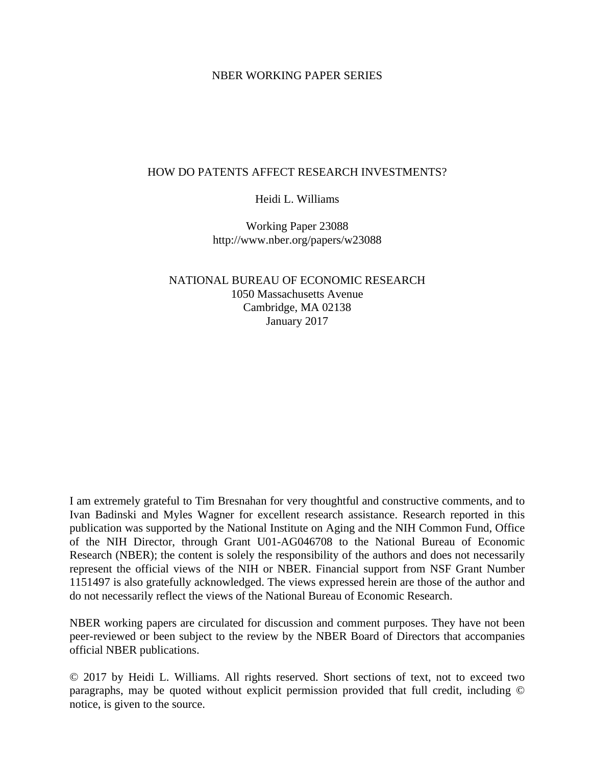# NBER WORKING PAPER SERIES

### HOW DO PATENTS AFFECT RESEARCH INVESTMENTS?

# Heidi L. Williams

Working Paper 23088 http://www.nber.org/papers/w23088

NATIONAL BUREAU OF ECONOMIC RESEARCH 1050 Massachusetts Avenue Cambridge, MA 02138 January 2017

I am extremely grateful to Tim Bresnahan for very thoughtful and constructive comments, and to Ivan Badinski and Myles Wagner for excellent research assistance. Research reported in this publication was supported by the National Institute on Aging and the NIH Common Fund, Office of the NIH Director, through Grant U01-AG046708 to the National Bureau of Economic Research (NBER); the content is solely the responsibility of the authors and does not necessarily represent the official views of the NIH or NBER. Financial support from NSF Grant Number 1151497 is also gratefully acknowledged. The views expressed herein are those of the author and do not necessarily reflect the views of the National Bureau of Economic Research.

NBER working papers are circulated for discussion and comment purposes. They have not been peer-reviewed or been subject to the review by the NBER Board of Directors that accompanies official NBER publications.

© 2017 by Heidi L. Williams. All rights reserved. Short sections of text, not to exceed two paragraphs, may be quoted without explicit permission provided that full credit, including © notice, is given to the source.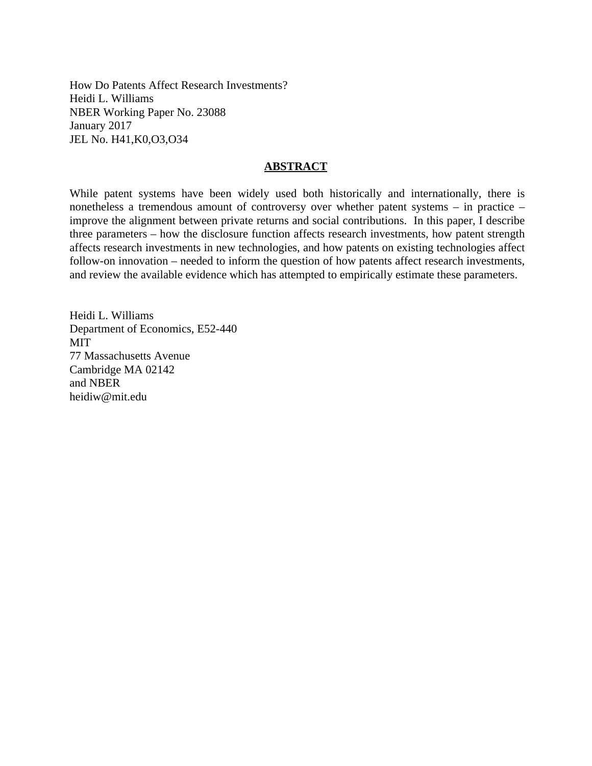How Do Patents Affect Research Investments? Heidi L. Williams NBER Working Paper No. 23088 January 2017 JEL No. H41,K0,O3,O34

# **ABSTRACT**

While patent systems have been widely used both historically and internationally, there is nonetheless a tremendous amount of controversy over whether patent systems – in practice – improve the alignment between private returns and social contributions. In this paper, I describe three parameters – how the disclosure function affects research investments, how patent strength affects research investments in new technologies, and how patents on existing technologies affect follow-on innovation – needed to inform the question of how patents affect research investments, and review the available evidence which has attempted to empirically estimate these parameters.

Heidi L. Williams Department of Economics, E52-440 **MIT** 77 Massachusetts Avenue Cambridge MA 02142 and NBER heidiw@mit.edu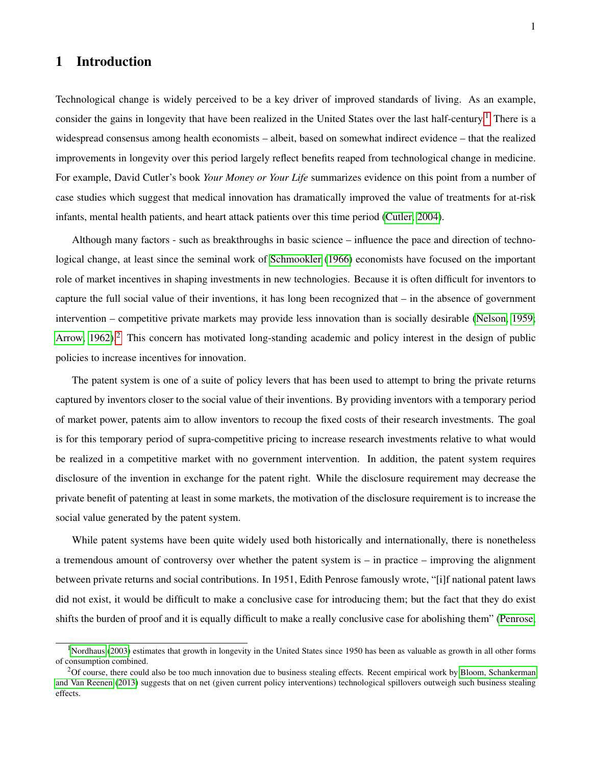# 1 Introduction

Technological change is widely perceived to be a key driver of improved standards of living. As an example, consider the gains in longevity that have been realized in the United States over the last half-century.<sup>[1](#page-2-0)</sup> There is a widespread consensus among health economists – albeit, based on somewhat indirect evidence – that the realized improvements in longevity over this period largely reflect benefits reaped from technological change in medicine. For example, David Cutler's book *Your Money or Your Life* summarizes evidence on this point from a number of case studies which suggest that medical innovation has dramatically improved the value of treatments for at-risk infants, mental health patients, and heart attack patients over this time period [\(Cutler, 2004\)](#page-30-0).

Although many factors - such as breakthroughs in basic science – influence the pace and direction of technological change, at least since the seminal work of [Schmookler](#page-32-0) [\(1966\)](#page-32-0) economists have focused on the important role of market incentives in shaping investments in new technologies. Because it is often difficult for inventors to capture the full social value of their inventions, it has long been recognized that – in the absence of government intervention – competitive private markets may provide less innovation than is socially desirable [\(Nelson, 1959;](#page-32-1) [Arrow, 1962\)](#page-30-1).<sup>[2](#page-2-1)</sup> This concern has motivated long-standing academic and policy interest in the design of public policies to increase incentives for innovation.

The patent system is one of a suite of policy levers that has been used to attempt to bring the private returns captured by inventors closer to the social value of their inventions. By providing inventors with a temporary period of market power, patents aim to allow inventors to recoup the fixed costs of their research investments. The goal is for this temporary period of supra-competitive pricing to increase research investments relative to what would be realized in a competitive market with no government intervention. In addition, the patent system requires disclosure of the invention in exchange for the patent right. While the disclosure requirement may decrease the private benefit of patenting at least in some markets, the motivation of the disclosure requirement is to increase the social value generated by the patent system.

While patent systems have been quite widely used both historically and internationally, there is nonetheless a tremendous amount of controversy over whether the patent system is – in practice – improving the alignment between private returns and social contributions. In 1951, Edith Penrose famously wrote, "[i]f national patent laws did not exist, it would be difficult to make a conclusive case for introducing them; but the fact that they do exist shifts the burden of proof and it is equally difficult to make a really conclusive case for abolishing them" [\(Penrose,](#page-32-2)

<span id="page-2-0"></span><sup>&</sup>lt;sup>1</sup>[Nordhaus](#page-32-3) [\(2003\)](#page-32-3) estimates that growth in longevity in the United States since 1950 has been as valuable as growth in all other forms of consumption combined.

<span id="page-2-1"></span> ${}^{2}$ Of course, there could also be too much innovation due to business stealing effects. Recent empirical work by [Bloom, Schankerman](#page-30-2) [and Van Reenen](#page-30-2) [\(2013\)](#page-30-2) suggests that on net (given current policy interventions) technological spillovers outweigh such business stealing effects.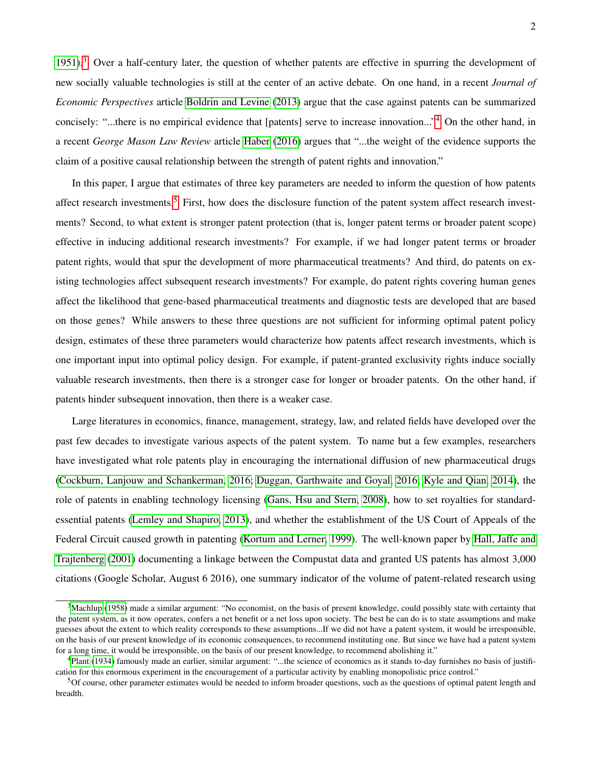[1951\)](#page-32-2).[3](#page-3-0) Over a half-century later, the question of whether patents are effective in spurring the development of new socially valuable technologies is still at the center of an active debate. On one hand, in a recent *Journal of Economic Perspectives* article [Boldrin and Levine](#page-30-3) [\(2013\)](#page-30-3) argue that the case against patents can be summarized concisely: "...there is no empirical evidence that [patents] serve to increase innovation..."[4](#page-3-1) On the other hand, in a recent *George Mason Law Review* article [Haber](#page-31-0) [\(2016\)](#page-31-0) argues that "...the weight of the evidence supports the claim of a positive causal relationship between the strength of patent rights and innovation."

In this paper, I argue that estimates of three key parameters are needed to inform the question of how patents affect research investments.<sup>[5](#page-3-2)</sup> First, how does the disclosure function of the patent system affect research investments? Second, to what extent is stronger patent protection (that is, longer patent terms or broader patent scope) effective in inducing additional research investments? For example, if we had longer patent terms or broader patent rights, would that spur the development of more pharmaceutical treatments? And third, do patents on existing technologies affect subsequent research investments? For example, do patent rights covering human genes affect the likelihood that gene-based pharmaceutical treatments and diagnostic tests are developed that are based on those genes? While answers to these three questions are not sufficient for informing optimal patent policy design, estimates of these three parameters would characterize how patents affect research investments, which is one important input into optimal policy design. For example, if patent-granted exclusivity rights induce socially valuable research investments, then there is a stronger case for longer or broader patents. On the other hand, if patents hinder subsequent innovation, then there is a weaker case.

Large literatures in economics, finance, management, strategy, law, and related fields have developed over the past few decades to investigate various aspects of the patent system. To name but a few examples, researchers have investigated what role patents play in encouraging the international diffusion of new pharmaceutical drugs [\(Cockburn, Lanjouw and Schankerman, 2016;](#page-30-4) [Duggan, Garthwaite and Goyal, 2016;](#page-30-5) [Kyle and Qian, 2014\)](#page-31-1), the role of patents in enabling technology licensing [\(Gans, Hsu and Stern, 2008\)](#page-30-6), how to set royalties for standardessential patents [\(Lemley and Shapiro, 2013\)](#page-31-2), and whether the establishment of the US Court of Appeals of the Federal Circuit caused growth in patenting [\(Kortum and Lerner, 1999\)](#page-31-3). The well-known paper by [Hall, Jaffe and](#page-31-4) [Trajtenberg](#page-31-4) [\(2001\)](#page-31-4) documenting a linkage between the Compustat data and granted US patents has almost 3,000 citations (Google Scholar, August 6 2016), one summary indicator of the volume of patent-related research using

<span id="page-3-0"></span> $3$ [Machlup](#page-31-5) [\(1958\)](#page-31-5) made a similar argument: "No economist, on the basis of present knowledge, could possibly state with certainty that the patent system, as it now operates, confers a net benefit or a net loss upon society. The best he can do is to state assumptions and make guesses about the extent to which reality corresponds to these assumptions...If we did not have a patent system, it would be irresponsible, on the basis of our present knowledge of its economic consequences, to recommend instituting one. But since we have had a patent system for a long time, it would be irresponsible, on the basis of our present knowledge, to recommend abolishing it."

<span id="page-3-1"></span><sup>4</sup>[Plant](#page-32-4) [\(1934\)](#page-32-4) famously made an earlier, similar argument: "...the science of economics as it stands to-day furnishes no basis of justification for this enormous experiment in the encouragement of a particular activity by enabling monopolistic price control."

<span id="page-3-2"></span> $5$ Of course, other parameter estimates would be needed to inform broader questions, such as the questions of optimal patent length and breadth.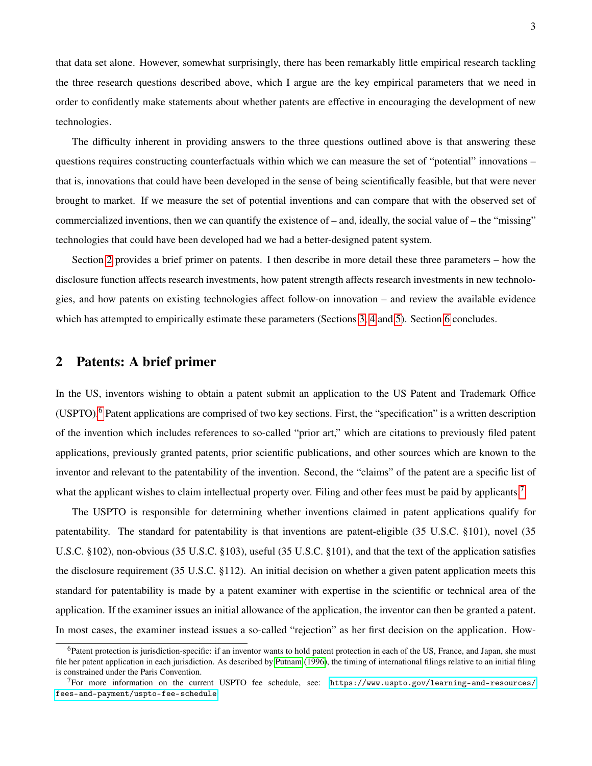that data set alone. However, somewhat surprisingly, there has been remarkably little empirical research tackling the three research questions described above, which I argue are the key empirical parameters that we need in order to confidently make statements about whether patents are effective in encouraging the development of new technologies.

The difficulty inherent in providing answers to the three questions outlined above is that answering these questions requires constructing counterfactuals within which we can measure the set of "potential" innovations – that is, innovations that could have been developed in the sense of being scientifically feasible, but that were never brought to market. If we measure the set of potential inventions and can compare that with the observed set of commercialized inventions, then we can quantify the existence of – and, ideally, the social value of – the "missing" technologies that could have been developed had we had a better-designed patent system.

Section [2](#page-4-0) provides a brief primer on patents. I then describe in more detail these three parameters – how the disclosure function affects research investments, how patent strength affects research investments in new technologies, and how patents on existing technologies affect follow-on innovation – and review the available evidence which has attempted to empirically estimate these parameters (Sections [3,](#page-6-0) [4](#page-7-0) and [5\)](#page-19-0). Section [6](#page-27-0) concludes.

# <span id="page-4-0"></span>2 Patents: A brief primer

In the US, inventors wishing to obtain a patent submit an application to the US Patent and Trademark Office (USPTO).[6](#page-4-1) Patent applications are comprised of two key sections. First, the "specification" is a written description of the invention which includes references to so-called "prior art," which are citations to previously filed patent applications, previously granted patents, prior scientific publications, and other sources which are known to the inventor and relevant to the patentability of the invention. Second, the "claims" of the patent are a specific list of what the applicant wishes to claim intellectual property over. Filing and other fees must be paid by applicants.<sup>[7](#page-4-2)</sup>

The USPTO is responsible for determining whether inventions claimed in patent applications qualify for patentability. The standard for patentability is that inventions are patent-eligible (35 U.S.C. §101), novel (35 U.S.C. §102), non-obvious (35 U.S.C. §103), useful (35 U.S.C. §101), and that the text of the application satisfies the disclosure requirement (35 U.S.C. §112). An initial decision on whether a given patent application meets this standard for patentability is made by a patent examiner with expertise in the scientific or technical area of the application. If the examiner issues an initial allowance of the application, the inventor can then be granted a patent. In most cases, the examiner instead issues a so-called "rejection" as her first decision on the application. How-

<span id="page-4-1"></span> ${}^{6}$ Patent protection is jurisdiction-specific: if an inventor wants to hold patent protection in each of the US, France, and Japan, she must file her patent application in each jurisdiction. As described by [Putnam](#page-32-5) [\(1996\)](#page-32-5), the timing of international filings relative to an initial filing is constrained under the Paris Convention.

<span id="page-4-2"></span> $^7$ For more information on the current USPTO fee schedule, see: [https://www.uspto.gov/learning-and-resources/](https://www.uspto.gov/learning-and-resources/fees-and-payment/uspto-fee-schedule) [fees-and-payment/uspto-fee-schedule](https://www.uspto.gov/learning-and-resources/fees-and-payment/uspto-fee-schedule).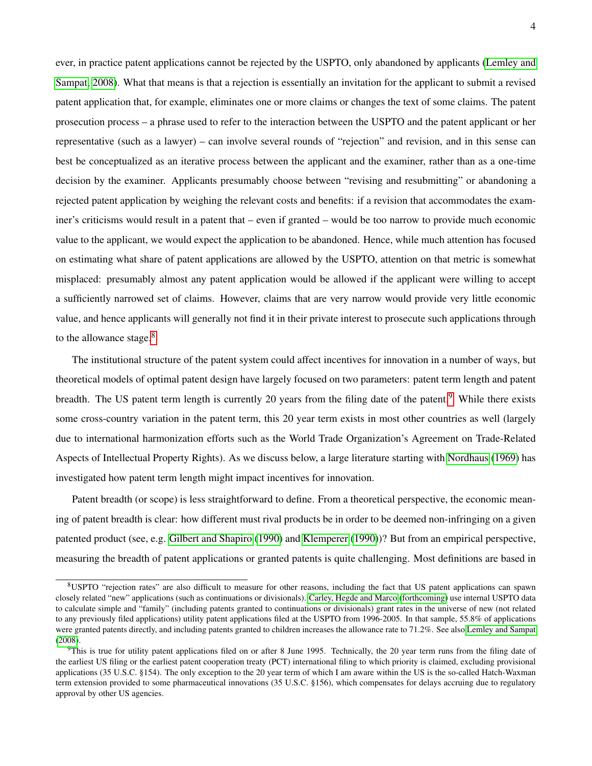ever, in practice patent applications cannot be rejected by the USPTO, only abandoned by applicants [\(Lemley and](#page-31-6) [Sampat, 2008\)](#page-31-6). What that means is that a rejection is essentially an invitation for the applicant to submit a revised patent application that, for example, eliminates one or more claims or changes the text of some claims. The patent prosecution process – a phrase used to refer to the interaction between the USPTO and the patent applicant or her representative (such as a lawyer) – can involve several rounds of "rejection" and revision, and in this sense can best be conceptualized as an iterative process between the applicant and the examiner, rather than as a one-time decision by the examiner. Applicants presumably choose between "revising and resubmitting" or abandoning a rejected patent application by weighing the relevant costs and benefits: if a revision that accommodates the examiner's criticisms would result in a patent that – even if granted – would be too narrow to provide much economic value to the applicant, we would expect the application to be abandoned. Hence, while much attention has focused on estimating what share of patent applications are allowed by the USPTO, attention on that metric is somewhat misplaced: presumably almost any patent application would be allowed if the applicant were willing to accept a sufficiently narrowed set of claims. However, claims that are very narrow would provide very little economic value, and hence applicants will generally not find it in their private interest to prosecute such applications through to the allowance stage. $8$ 

The institutional structure of the patent system could affect incentives for innovation in a number of ways, but theoretical models of optimal patent design have largely focused on two parameters: patent term length and patent breadth. The US patent term length is currently 20 years from the filing date of the patent.<sup>[9](#page-5-1)</sup> While there exists some cross-country variation in the patent term, this 20 year term exists in most other countries as well (largely due to international harmonization efforts such as the World Trade Organization's Agreement on Trade-Related Aspects of Intellectual Property Rights). As we discuss below, a large literature starting with [Nordhaus](#page-32-6) [\(1969\)](#page-32-6) has investigated how patent term length might impact incentives for innovation.

Patent breadth (or scope) is less straightforward to define. From a theoretical perspective, the economic meaning of patent breadth is clear: how different must rival products be in order to be deemed non-infringing on a given patented product (see, e.g. [Gilbert and Shapiro](#page-31-7) [\(1990\)](#page-31-7) and [Klemperer](#page-31-8) [\(1990\)](#page-31-8))? But from an empirical perspective, measuring the breadth of patent applications or granted patents is quite challenging. Most definitions are based in

<span id="page-5-0"></span><sup>8</sup>USPTO "rejection rates" are also difficult to measure for other reasons, including the fact that US patent applications can spawn closely related "new" applications (such as continuations or divisionals). [Carley, Hegde and Marco](#page-30-7) [\(forthcoming\)](#page-30-7) use internal USPTO data to calculate simple and "family" (including patents granted to continuations or divisionals) grant rates in the universe of new (not related to any previously filed applications) utility patent applications filed at the USPTO from 1996-2005. In that sample, 55.8% of applications were granted patents directly, and including patents granted to children increases the allowance rate to 71.2%. See also [Lemley and Sampat](#page-31-6) [\(2008\)](#page-31-6).

<span id="page-5-1"></span><sup>&</sup>lt;sup>9</sup>This is true for utility patent applications filed on or after 8 June 1995. Technically, the 20 year term runs from the filing date of the earliest US filing or the earliest patent cooperation treaty (PCT) international filing to which priority is claimed, excluding provisional applications (35 U.S.C. §154). The only exception to the 20 year term of which I am aware within the US is the so-called Hatch-Waxman term extension provided to some pharmaceutical innovations (35 U.S.C. §156), which compensates for delays accruing due to regulatory approval by other US agencies.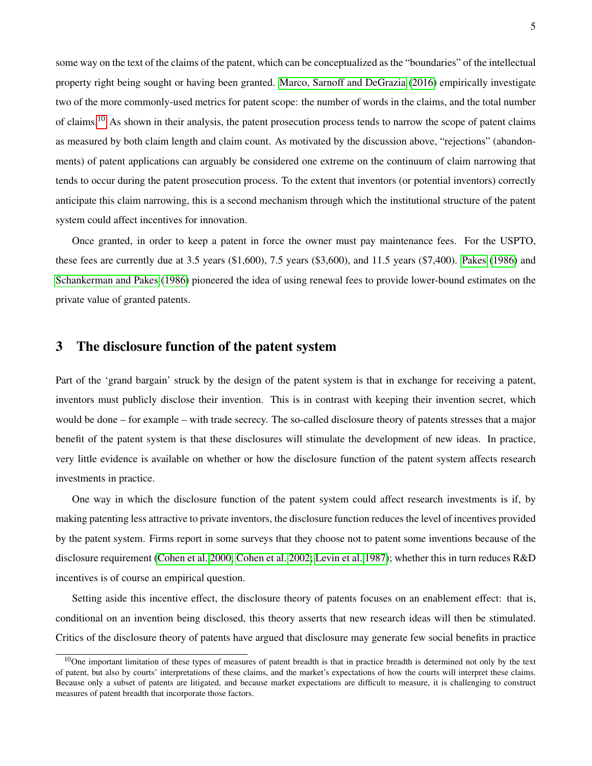some way on the text of the claims of the patent, which can be conceptualized as the "boundaries" of the intellectual property right being sought or having been granted. [Marco, Sarnoff and DeGrazia](#page-31-9) [\(2016\)](#page-31-9) empirically investigate two of the more commonly-used metrics for patent scope: the number of words in the claims, and the total number of claims.[10](#page-6-1) As shown in their analysis, the patent prosecution process tends to narrow the scope of patent claims as measured by both claim length and claim count. As motivated by the discussion above, "rejections" (abandonments) of patent applications can arguably be considered one extreme on the continuum of claim narrowing that tends to occur during the patent prosecution process. To the extent that inventors (or potential inventors) correctly anticipate this claim narrowing, this is a second mechanism through which the institutional structure of the patent system could affect incentives for innovation.

Once granted, in order to keep a patent in force the owner must pay maintenance fees. For the USPTO, these fees are currently due at 3.5 years (\$1,600), 7.5 years (\$3,600), and 11.5 years (\$7,400). [Pakes](#page-32-7) [\(1986\)](#page-32-7) and [Schankerman and Pakes](#page-32-8) [\(1986\)](#page-32-8) pioneered the idea of using renewal fees to provide lower-bound estimates on the private value of granted patents.

# <span id="page-6-0"></span>3 The disclosure function of the patent system

Part of the 'grand bargain' struck by the design of the patent system is that in exchange for receiving a patent, inventors must publicly disclose their invention. This is in contrast with keeping their invention secret, which would be done – for example – with trade secrecy. The so-called disclosure theory of patents stresses that a major benefit of the patent system is that these disclosures will stimulate the development of new ideas. In practice, very little evidence is available on whether or how the disclosure function of the patent system affects research investments in practice.

One way in which the disclosure function of the patent system could affect research investments is if, by making patenting less attractive to private inventors, the disclosure function reduces the level of incentives provided by the patent system. Firms report in some surveys that they choose not to patent some inventions because of the disclosure requirement [\(Cohen et al. 2000;](#page-30-8) [Cohen et al. 2002;](#page-30-9) [Levin et al. 1987\)](#page-31-10); whether this in turn reduces R&D incentives is of course an empirical question.

Setting aside this incentive effect, the disclosure theory of patents focuses on an enablement effect: that is, conditional on an invention being disclosed, this theory asserts that new research ideas will then be stimulated. Critics of the disclosure theory of patents have argued that disclosure may generate few social benefits in practice

<span id="page-6-1"></span> $10$ One important limitation of these types of measures of patent breadth is that in practice breadth is determined not only by the text of patent, but also by courts' interpretations of these claims, and the market's expectations of how the courts will interpret these claims. Because only a subset of patents are litigated, and because market expectations are difficult to measure, it is challenging to construct measures of patent breadth that incorporate those factors.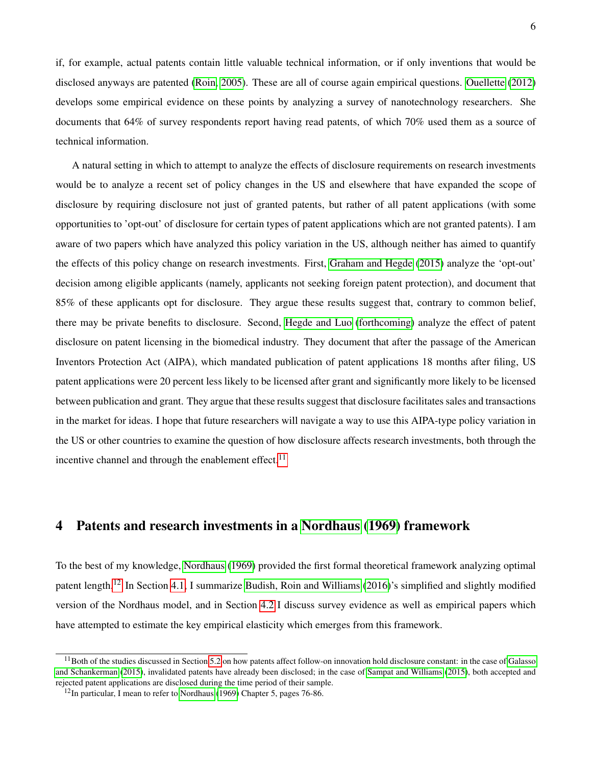if, for example, actual patents contain little valuable technical information, or if only inventions that would be disclosed anyways are patented [\(Roin, 2005\)](#page-32-9). These are all of course again empirical questions. [Ouellette](#page-32-10) [\(2012\)](#page-32-10) develops some empirical evidence on these points by analyzing a survey of nanotechnology researchers. She documents that 64% of survey respondents report having read patents, of which 70% used them as a source of technical information.

A natural setting in which to attempt to analyze the effects of disclosure requirements on research investments would be to analyze a recent set of policy changes in the US and elsewhere that have expanded the scope of disclosure by requiring disclosure not just of granted patents, but rather of all patent applications (with some opportunities to 'opt-out' of disclosure for certain types of patent applications which are not granted patents). I am aware of two papers which have analyzed this policy variation in the US, although neither has aimed to quantify the effects of this policy change on research investments. First, [Graham and Hegde](#page-31-11) [\(2015\)](#page-31-11) analyze the 'opt-out' decision among eligible applicants (namely, applicants not seeking foreign patent protection), and document that 85% of these applicants opt for disclosure. They argue these results suggest that, contrary to common belief, there may be private benefits to disclosure. Second, [Hegde and Luo](#page-31-12) [\(forthcoming\)](#page-31-12) analyze the effect of patent disclosure on patent licensing in the biomedical industry. They document that after the passage of the American Inventors Protection Act (AIPA), which mandated publication of patent applications 18 months after filing, US patent applications were 20 percent less likely to be licensed after grant and significantly more likely to be licensed between publication and grant. They argue that these results suggest that disclosure facilitates sales and transactions in the market for ideas. I hope that future researchers will navigate a way to use this AIPA-type policy variation in the US or other countries to examine the question of how disclosure affects research investments, both through the incentive channel and through the enablement effect.<sup>[11](#page-7-1)</sup>

# <span id="page-7-0"></span>4 Patents and research investments in a [Nordhaus](#page-32-6) [\(1969\)](#page-32-6) framework

To the best of my knowledge, [Nordhaus](#page-32-6) [\(1969\)](#page-32-6) provided the first formal theoretical framework analyzing optimal patent length.[12](#page-7-2) In Section [4.1,](#page-8-0) I summarize [Budish, Roin and Williams](#page-30-10) [\(2016\)](#page-30-10)'s simplified and slightly modified version of the Nordhaus model, and in Section [4.2](#page-9-0) I discuss survey evidence as well as empirical papers which have attempted to estimate the key empirical elasticity which emerges from this framework.

<span id="page-7-1"></span> $11$ Both of the studies discussed in Section [5.2](#page-23-0) on how patents affect follow-on innovation hold disclosure constant: in the case of [Galasso](#page-30-11) [and Schankerman](#page-30-11) [\(2015\)](#page-30-11), invalidated patents have already been disclosed; in the case of [Sampat and Williams](#page-32-11) [\(2015\)](#page-32-11), both accepted and rejected patent applications are disclosed during the time period of their sample.

<span id="page-7-2"></span> $12$ In particular, I mean to refer to [Nordhaus](#page-32-6) [\(1969\)](#page-32-6) Chapter 5, pages 76-86.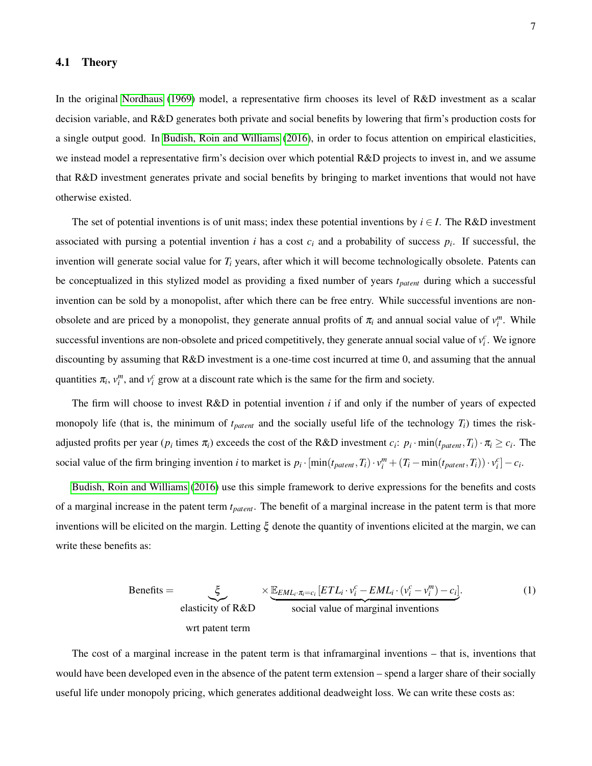#### <span id="page-8-0"></span>4.1 Theory

In the original [Nordhaus](#page-32-6) [\(1969\)](#page-32-6) model, a representative firm chooses its level of R&D investment as a scalar decision variable, and R&D generates both private and social benefits by lowering that firm's production costs for a single output good. In [Budish, Roin and Williams](#page-30-10) [\(2016\)](#page-30-10), in order to focus attention on empirical elasticities, we instead model a representative firm's decision over which potential R&D projects to invest in, and we assume that R&D investment generates private and social benefits by bringing to market inventions that would not have otherwise existed.

The set of potential inventions is of unit mass; index these potential inventions by  $i \in I$ . The R&D investment associated with pursing a potential invention *i* has a cost  $c_i$  and a probability of success  $p_i$ . If successful, the invention will generate social value for *T<sup>i</sup>* years, after which it will become technologically obsolete. Patents can be conceptualized in this stylized model as providing a fixed number of years *tpatent* during which a successful invention can be sold by a monopolist, after which there can be free entry. While successful inventions are nonobsolete and are priced by a monopolist, they generate annual profits of  $\pi_i$  and annual social value of  $v_i^m$ . While successful inventions are non-obsolete and priced competitively, they generate annual social value of  $v_i^c$ . We ignore discounting by assuming that R&D investment is a one-time cost incurred at time 0, and assuming that the annual quantities  $\pi_i$ ,  $v_i^m$ , and  $v_i^c$  grow at a discount rate which is the same for the firm and society.

The firm will choose to invest R&D in potential invention *i* if and only if the number of years of expected monopoly life (that is, the minimum of  $t_{pattern}$  and the socially useful life of the technology  $T_i$ ) times the riskadjusted profits per year  $(p_i \text{ times } \pi_i)$  exceeds the cost of the R&D investment  $c_i$ :  $p_i \cdot \min(t_{pattern}, T_i) \cdot \pi_i \ge c_i$ . The social value of the firm bringing invention *i* to market is  $p_i \cdot [\min(t_{pattern}, T_i) \cdot v_i^m + (T_i - \min(t_{pattern}, T_i)) \cdot v_i^c] - c_i$ .

[Budish, Roin and Williams](#page-30-10) [\(2016\)](#page-30-10) use this simple framework to derive expressions for the benefits and costs of a marginal increase in the patent term *tpatent*. The benefit of a marginal increase in the patent term is that more inventions will be elicited on the margin. Letting ξ denote the quantity of inventions elicited at the margin, we can write these benefits as:

<span id="page-8-1"></span>Benefits = 
$$
\underbrace{\xi}_{\text{elasticity of R&D}} \times \underbrace{\mathbb{E}_{\mathcal{E}_{\text{ML}_i \cdot \pi_i = c_i} [\mathcal{E}_{\text{TL}_i} \cdot v_i^c - \mathcal{E}_{\text{ML}_i} \cdot (v_i^c - v_i^m) - c_i]}_{\text{social value of marginal inventions}}.
$$
(1)

The cost of a marginal increase in the patent term is that inframarginal inventions – that is, inventions that would have been developed even in the absence of the patent term extension – spend a larger share of their socially useful life under monopoly pricing, which generates additional deadweight loss. We can write these costs as: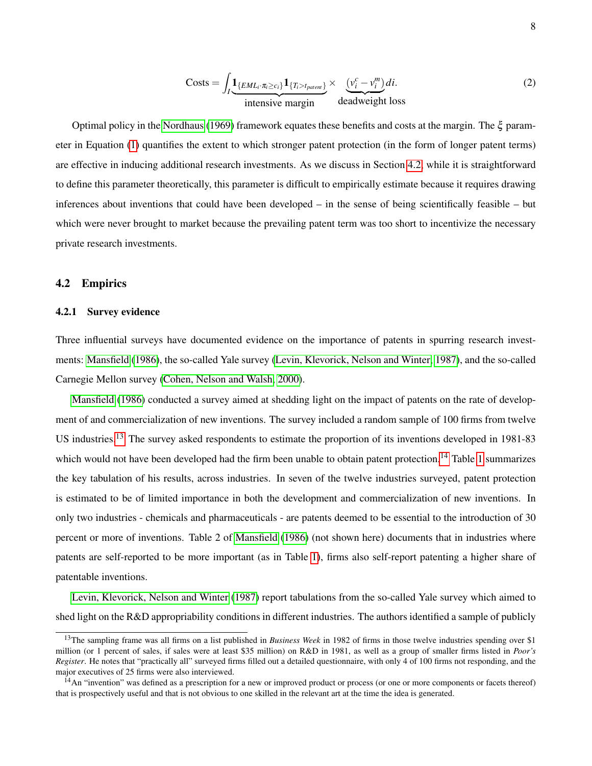$$
\text{Costs} = \int_{I} \underbrace{\mathbf{1}_{\{EML_i \cdot \pi_i \ge c_i\}} \mathbf{1}_{\{T_i > t_{pattern}\}}}_{\text{intensive margin}} \times \underbrace{(v_i^c - v_i^m) \, di.}_{\text{deadweight loss}} \tag{2}
$$

Optimal policy in the [Nordhaus](#page-32-6) [\(1969\)](#page-32-6) framework equates these benefits and costs at the margin. The ξ parameter in Equation [\(1\)](#page-8-1) quantifies the extent to which stronger patent protection (in the form of longer patent terms) are effective in inducing additional research investments. As we discuss in Section [4.2,](#page-9-0) while it is straightforward to define this parameter theoretically, this parameter is difficult to empirically estimate because it requires drawing inferences about inventions that could have been developed – in the sense of being scientifically feasible – but which were never brought to market because the prevailing patent term was too short to incentivize the necessary private research investments.

#### <span id="page-9-0"></span>4.2 Empirics

#### 4.2.1 Survey evidence

Three influential surveys have documented evidence on the importance of patents in spurring research investments: [Mansfield](#page-31-13) [\(1986\)](#page-31-13), the so-called Yale survey [\(Levin, Klevorick, Nelson and Winter, 1987\)](#page-31-10), and the so-called Carnegie Mellon survey [\(Cohen, Nelson and Walsh, 2000\)](#page-30-8).

[Mansfield](#page-31-13) [\(1986\)](#page-31-13) conducted a survey aimed at shedding light on the impact of patents on the rate of development of and commercialization of new inventions. The survey included a random sample of 100 firms from twelve US industries.<sup>[13](#page-9-1)</sup> The survey asked respondents to estimate the proportion of its inventions developed in 1981-83 which would not have been developed had the firm been unable to obtain patent protection.<sup>[14](#page-9-2)</sup> Table [1](#page-10-0) summarizes the key tabulation of his results, across industries. In seven of the twelve industries surveyed, patent protection is estimated to be of limited importance in both the development and commercialization of new inventions. In only two industries - chemicals and pharmaceuticals - are patents deemed to be essential to the introduction of 30 percent or more of inventions. Table 2 of [Mansfield](#page-31-13) [\(1986\)](#page-31-13) (not shown here) documents that in industries where patents are self-reported to be more important (as in Table [1\)](#page-10-0), firms also self-report patenting a higher share of patentable inventions.

[Levin, Klevorick, Nelson and Winter](#page-31-10) [\(1987\)](#page-31-10) report tabulations from the so-called Yale survey which aimed to shed light on the R&D appropriability conditions in different industries. The authors identified a sample of publicly

<span id="page-9-1"></span><sup>13</sup>The sampling frame was all firms on a list published in *Business Week* in 1982 of firms in those twelve industries spending over \$1 million (or 1 percent of sales, if sales were at least \$35 million) on R&D in 1981, as well as a group of smaller firms listed in *Poor's Register*. He notes that "practically all" surveyed firms filled out a detailed questionnaire, with only 4 of 100 firms not responding, and the major executives of 25 firms were also interviewed.

<span id="page-9-2"></span> $14$ An "invention" was defined as a prescription for a new or improved product or process (or one or more components or facets thereof) that is prospectively useful and that is not obvious to one skilled in the relevant art at the time the idea is generated.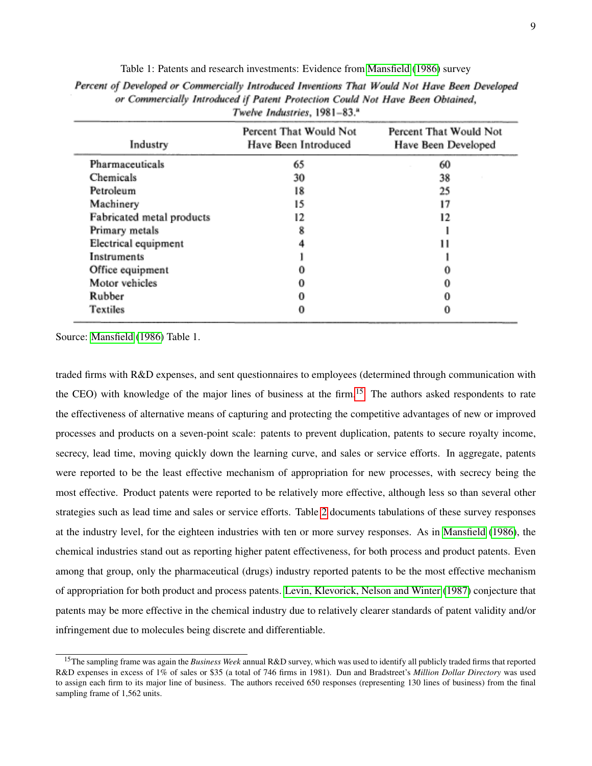| Industry                  | Percent That Would Not<br>Have Been Introduced | Percent That Would Not<br>Have Been Developed |  |  |
|---------------------------|------------------------------------------------|-----------------------------------------------|--|--|
| Pharmaceuticals           | 65                                             | 60                                            |  |  |
| Chemicals                 | 30                                             | 38                                            |  |  |
| Petroleum                 | 18                                             | 25                                            |  |  |
| Machinery                 | 15                                             | 17                                            |  |  |
| Fabricated metal products | 12                                             | 12                                            |  |  |
| Primary metals            | 8                                              |                                               |  |  |
| Electrical equipment      |                                                | 11                                            |  |  |
| Instruments               |                                                |                                               |  |  |
| Office equipment          |                                                |                                               |  |  |
| Motor vehicles            |                                                |                                               |  |  |
| Rubber                    | 0                                              |                                               |  |  |
| <b>Textiles</b>           | 0                                              |                                               |  |  |

<span id="page-10-0"></span>Table 1: Patents and research investments: Evidence from [Mansfield](#page-31-13) [\(1986\)](#page-31-13) survey

| Percent of Developed or Commercially Introduced Inventions That Would Not Have Been Developed |  |  |  |  |  |  |  |
|-----------------------------------------------------------------------------------------------|--|--|--|--|--|--|--|
| or Commercially Introduced if Patent Protection Could Not Have Been Obtained,                 |  |  |  |  |  |  |  |
| Twelve Industries, 1981-83. <sup>a</sup>                                                      |  |  |  |  |  |  |  |

Source: [Mansfield](#page-31-13) [\(1986\)](#page-31-13) Table 1.

traded firms with R&D expenses, and sent questionnaires to employees (determined through communication with the CEO) with knowledge of the major lines of business at the firm.[15](#page-10-1) The authors asked respondents to rate the effectiveness of alternative means of capturing and protecting the competitive advantages of new or improved processes and products on a seven-point scale: patents to prevent duplication, patents to secure royalty income, secrecy, lead time, moving quickly down the learning curve, and sales or service efforts. In aggregate, patents were reported to be the least effective mechanism of appropriation for new processes, with secrecy being the most effective. Product patents were reported to be relatively more effective, although less so than several other strategies such as lead time and sales or service efforts. Table [2](#page-11-0) documents tabulations of these survey responses at the industry level, for the eighteen industries with ten or more survey responses. As in [Mansfield](#page-31-13) [\(1986\)](#page-31-13), the chemical industries stand out as reporting higher patent effectiveness, for both process and product patents. Even among that group, only the pharmaceutical (drugs) industry reported patents to be the most effective mechanism of appropriation for both product and process patents. [Levin, Klevorick, Nelson and Winter](#page-31-10) [\(1987\)](#page-31-10) conjecture that patents may be more effective in the chemical industry due to relatively clearer standards of patent validity and/or infringement due to molecules being discrete and differentiable.

<span id="page-10-1"></span><sup>15</sup>The sampling frame was again the *Business Week* annual R&D survey, which was used to identify all publicly traded firms that reported R&D expenses in excess of 1% of sales or \$35 (a total of 746 firms in 1981). Dun and Bradstreet's *Million Dollar Directory* was used to assign each firm to its major line of business. The authors received 650 responses (representing 130 lines of business) from the final sampling frame of 1,562 units.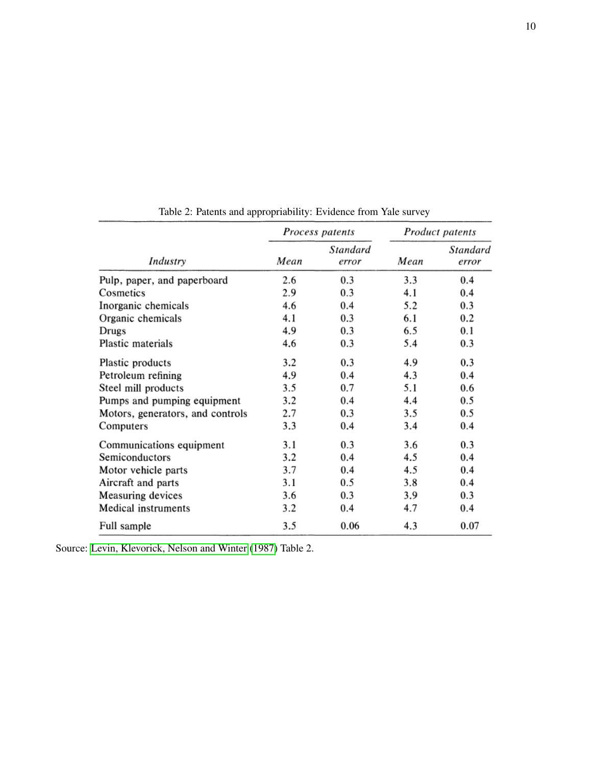|                                  | Process patents |                   | Product patents |                   |  |
|----------------------------------|-----------------|-------------------|-----------------|-------------------|--|
| Industry                         | Mean            | Standard<br>error | Mean            | Standard<br>error |  |
| Pulp, paper, and paperboard      | 2.6             | 0.3               | 3.3             | 0.4               |  |
| Cosmetics                        | 2.9             | 0.3               | 4.1             | 0.4               |  |
| Inorganic chemicals              | 4.6             | 0.4               | 5.2             | 0.3               |  |
| Organic chemicals                | 4.1             | 0.3               | 6.1             | 0.2               |  |
| Drugs                            | 4.9             | 0.3               | 6.5             | 0.1               |  |
| Plastic materials                | 4.6             | 0.3               | 5.4             | 0.3               |  |
| Plastic products                 | 3.2             | 0.3               | 4.9             | 0.3               |  |
| Petroleum refining               | 4.9             | 0.4               | 4.3             | 0.4               |  |
| Steel mill products              | 3.5             | 0.7               | 5.1             | 0.6               |  |
| Pumps and pumping equipment      | 3.2             | 0.4               | 4.4             | 0.5               |  |
| Motors, generators, and controls | 2.7             | 0.3               | 3.5             | 0.5               |  |
| Computers                        | 3.3             | 0.4               | 3.4             | 0.4               |  |
| Communications equipment         | 3.1             | 0.3               | 3.6             | 0.3               |  |
| Semiconductors                   | 3.2             | 0.4               | 4.5             | 0.4               |  |
| Motor vehicle parts              | 3.7             | 0.4               | 4.5             | 0.4               |  |
| Aircraft and parts               | 3.1             | 0.5               | 3.8             | 0.4               |  |
| Measuring devices                | 3.6             | 0.3               | 3.9             | 0.3               |  |
| Medical instruments              | 3.2             | 0.4               | 4.7             | 0.4               |  |
| Full sample                      | 3.5             | 0.06              | 4.3             | 0.07              |  |

<span id="page-11-0"></span>Table 2: Patents and appropriability: Evidence from Yale survey

Source: [Levin, Klevorick, Nelson and Winter](#page-31-10) [\(1987\)](#page-31-10) Table 2.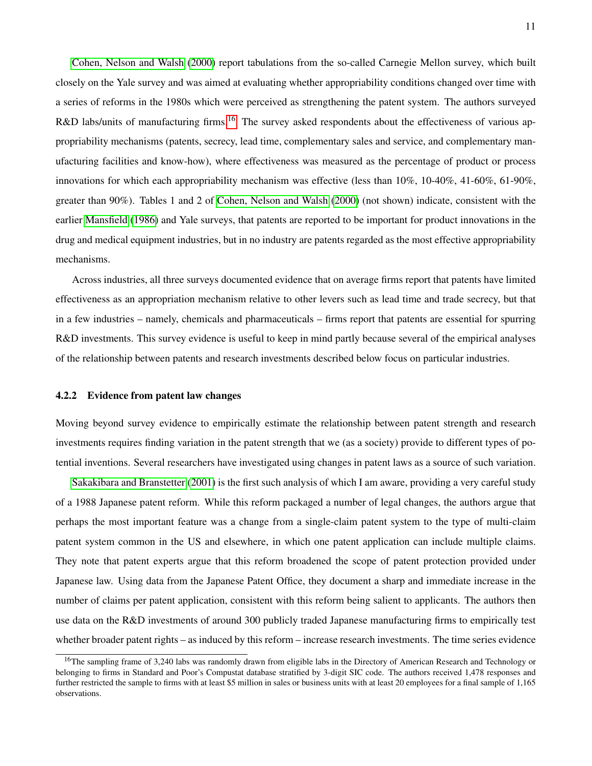[Cohen, Nelson and Walsh](#page-30-8) [\(2000\)](#page-30-8) report tabulations from the so-called Carnegie Mellon survey, which built closely on the Yale survey and was aimed at evaluating whether appropriability conditions changed over time with a series of reforms in the 1980s which were perceived as strengthening the patent system. The authors surveyed R&D labs/units of manufacturing firms.<sup>[16](#page-12-0)</sup> The survey asked respondents about the effectiveness of various appropriability mechanisms (patents, secrecy, lead time, complementary sales and service, and complementary manufacturing facilities and know-how), where effectiveness was measured as the percentage of product or process innovations for which each appropriability mechanism was effective (less than 10%, 10-40%, 41-60%, 61-90%, greater than 90%). Tables 1 and 2 of [Cohen, Nelson and Walsh](#page-30-8) [\(2000\)](#page-30-8) (not shown) indicate, consistent with the earlier [Mansfield](#page-31-13) [\(1986\)](#page-31-13) and Yale surveys, that patents are reported to be important for product innovations in the drug and medical equipment industries, but in no industry are patents regarded as the most effective appropriability mechanisms.

Across industries, all three surveys documented evidence that on average firms report that patents have limited effectiveness as an appropriation mechanism relative to other levers such as lead time and trade secrecy, but that in a few industries – namely, chemicals and pharmaceuticals – firms report that patents are essential for spurring R&D investments. This survey evidence is useful to keep in mind partly because several of the empirical analyses of the relationship between patents and research investments described below focus on particular industries.

#### 4.2.2 Evidence from patent law changes

Moving beyond survey evidence to empirically estimate the relationship between patent strength and research investments requires finding variation in the patent strength that we (as a society) provide to different types of potential inventions. Several researchers have investigated using changes in patent laws as a source of such variation.

[Sakakibara and Branstetter](#page-32-12) [\(2001\)](#page-32-12) is the first such analysis of which I am aware, providing a very careful study of a 1988 Japanese patent reform. While this reform packaged a number of legal changes, the authors argue that perhaps the most important feature was a change from a single-claim patent system to the type of multi-claim patent system common in the US and elsewhere, in which one patent application can include multiple claims. They note that patent experts argue that this reform broadened the scope of patent protection provided under Japanese law. Using data from the Japanese Patent Office, they document a sharp and immediate increase in the number of claims per patent application, consistent with this reform being salient to applicants. The authors then use data on the R&D investments of around 300 publicly traded Japanese manufacturing firms to empirically test whether broader patent rights – as induced by this reform – increase research investments. The time series evidence

<span id="page-12-0"></span><sup>&</sup>lt;sup>16</sup>The sampling frame of 3.240 labs was randomly drawn from eligible labs in the Directory of American Research and Technology or belonging to firms in Standard and Poor's Compustat database stratified by 3-digit SIC code. The authors received 1,478 responses and further restricted the sample to firms with at least \$5 million in sales or business units with at least 20 employees for a final sample of 1,165 observations.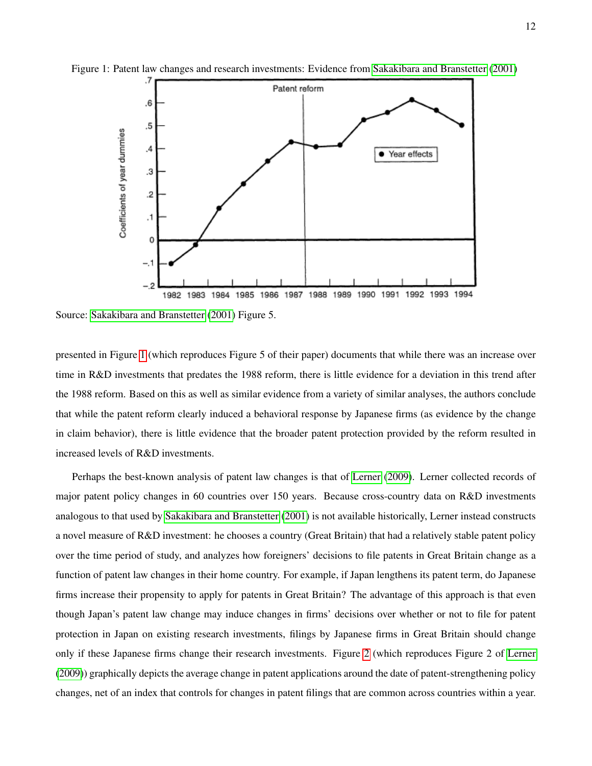<span id="page-13-0"></span>

Figure 1: Patent law changes and research investments: Evidence from [Sakakibara and Branstetter](#page-32-12) [\(2001\)](#page-32-12)

Source: [Sakakibara and Branstetter](#page-32-12) [\(2001\)](#page-32-12) Figure 5.

presented in Figure [1](#page-13-0) (which reproduces Figure 5 of their paper) documents that while there was an increase over time in R&D investments that predates the 1988 reform, there is little evidence for a deviation in this trend after the 1988 reform. Based on this as well as similar evidence from a variety of similar analyses, the authors conclude that while the patent reform clearly induced a behavioral response by Japanese firms (as evidence by the change in claim behavior), there is little evidence that the broader patent protection provided by the reform resulted in increased levels of R&D investments.

Perhaps the best-known analysis of patent law changes is that of [Lerner](#page-31-14) [\(2009\)](#page-31-14). Lerner collected records of major patent policy changes in 60 countries over 150 years. Because cross-country data on R&D investments analogous to that used by [Sakakibara and Branstetter](#page-32-12) [\(2001\)](#page-32-12) is not available historically, Lerner instead constructs a novel measure of R&D investment: he chooses a country (Great Britain) that had a relatively stable patent policy over the time period of study, and analyzes how foreigners' decisions to file patents in Great Britain change as a function of patent law changes in their home country. For example, if Japan lengthens its patent term, do Japanese firms increase their propensity to apply for patents in Great Britain? The advantage of this approach is that even though Japan's patent law change may induce changes in firms' decisions over whether or not to file for patent protection in Japan on existing research investments, filings by Japanese firms in Great Britain should change only if these Japanese firms change their research investments. Figure [2](#page-15-0) (which reproduces Figure 2 of [Lerner](#page-31-14) [\(2009\)](#page-31-14)) graphically depicts the average change in patent applications around the date of patent-strengthening policy changes, net of an index that controls for changes in patent filings that are common across countries within a year.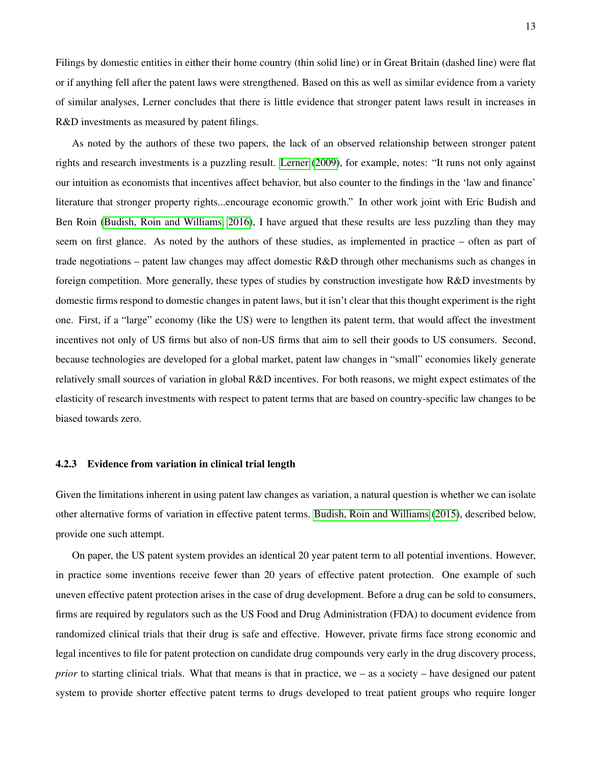Filings by domestic entities in either their home country (thin solid line) or in Great Britain (dashed line) were flat or if anything fell after the patent laws were strengthened. Based on this as well as similar evidence from a variety of similar analyses, Lerner concludes that there is little evidence that stronger patent laws result in increases in R&D investments as measured by patent filings.

As noted by the authors of these two papers, the lack of an observed relationship between stronger patent rights and research investments is a puzzling result. [Lerner](#page-31-14) [\(2009\)](#page-31-14), for example, notes: "It runs not only against our intuition as economists that incentives affect behavior, but also counter to the findings in the 'law and finance' literature that stronger property rights...encourage economic growth." In other work joint with Eric Budish and Ben Roin [\(Budish, Roin and Williams, 2016\)](#page-30-10), I have argued that these results are less puzzling than they may seem on first glance. As noted by the authors of these studies, as implemented in practice – often as part of trade negotiations – patent law changes may affect domestic R&D through other mechanisms such as changes in foreign competition. More generally, these types of studies by construction investigate how R&D investments by domestic firms respond to domestic changes in patent laws, but it isn't clear that this thought experiment is the right one. First, if a "large" economy (like the US) were to lengthen its patent term, that would affect the investment incentives not only of US firms but also of non-US firms that aim to sell their goods to US consumers. Second, because technologies are developed for a global market, patent law changes in "small" economies likely generate relatively small sources of variation in global R&D incentives. For both reasons, we might expect estimates of the elasticity of research investments with respect to patent terms that are based on country-specific law changes to be biased towards zero.

### 4.2.3 Evidence from variation in clinical trial length

Given the limitations inherent in using patent law changes as variation, a natural question is whether we can isolate other alternative forms of variation in effective patent terms. [Budish, Roin and Williams](#page-30-12) [\(2015\)](#page-30-12), described below, provide one such attempt.

On paper, the US patent system provides an identical 20 year patent term to all potential inventions. However, in practice some inventions receive fewer than 20 years of effective patent protection. One example of such uneven effective patent protection arises in the case of drug development. Before a drug can be sold to consumers, firms are required by regulators such as the US Food and Drug Administration (FDA) to document evidence from randomized clinical trials that their drug is safe and effective. However, private firms face strong economic and legal incentives to file for patent protection on candidate drug compounds very early in the drug discovery process, *prior* to starting clinical trials. What that means is that in practice, we – as a society – have designed our patent system to provide shorter effective patent terms to drugs developed to treat patient groups who require longer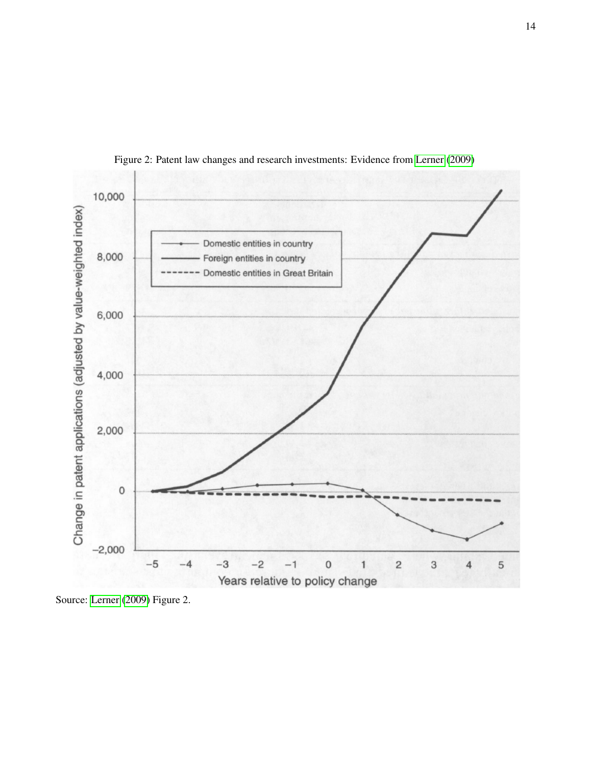

<span id="page-15-0"></span>Figure 2: Patent law changes and research investments: Evidence from [Lerner](#page-31-14) [\(2009\)](#page-31-14)

Source: [Lerner](#page-31-14) [\(2009\)](#page-31-14) Figure 2.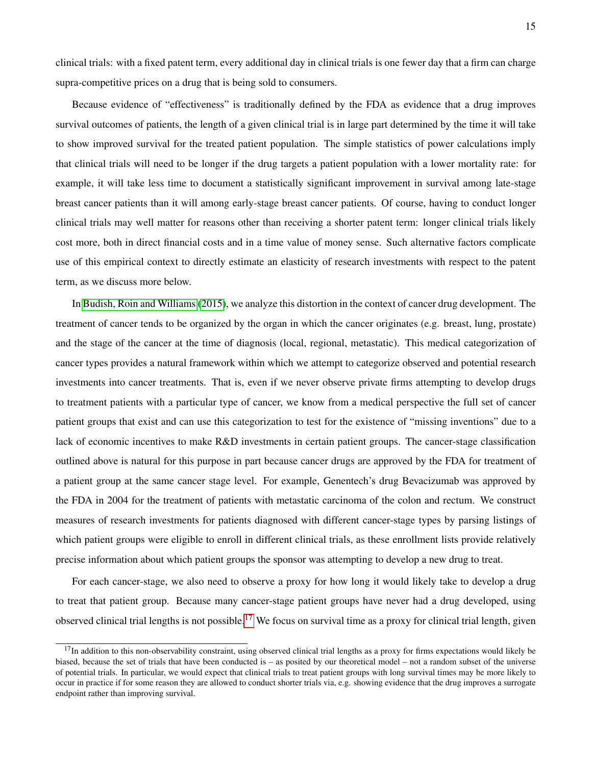clinical trials: with a fixed patent term, every additional day in clinical trials is one fewer day that a firm can charge supra-competitive prices on a drug that is being sold to consumers.

Because evidence of "effectiveness" is traditionally defined by the FDA as evidence that a drug improves survival outcomes of patients, the length of a given clinical trial is in large part determined by the time it will take to show improved survival for the treated patient population. The simple statistics of power calculations imply that clinical trials will need to be longer if the drug targets a patient population with a lower mortality rate: for example, it will take less time to document a statistically significant improvement in survival among late-stage breast cancer patients than it will among early-stage breast cancer patients. Of course, having to conduct longer clinical trials may well matter for reasons other than receiving a shorter patent term: longer clinical trials likely cost more, both in direct financial costs and in a time value of money sense. Such alternative factors complicate use of this empirical context to directly estimate an elasticity of research investments with respect to the patent term, as we discuss more below.

In [Budish, Roin and Williams](#page-30-12) [\(2015\)](#page-30-12), we analyze this distortion in the context of cancer drug development. The treatment of cancer tends to be organized by the organ in which the cancer originates (e.g. breast, lung, prostate) and the stage of the cancer at the time of diagnosis (local, regional, metastatic). This medical categorization of cancer types provides a natural framework within which we attempt to categorize observed and potential research investments into cancer treatments. That is, even if we never observe private firms attempting to develop drugs to treatment patients with a particular type of cancer, we know from a medical perspective the full set of cancer patient groups that exist and can use this categorization to test for the existence of "missing inventions" due to a lack of economic incentives to make R&D investments in certain patient groups. The cancer-stage classification outlined above is natural for this purpose in part because cancer drugs are approved by the FDA for treatment of a patient group at the same cancer stage level. For example, Genentech's drug Bevacizumab was approved by the FDA in 2004 for the treatment of patients with metastatic carcinoma of the colon and rectum. We construct measures of research investments for patients diagnosed with different cancer-stage types by parsing listings of which patient groups were eligible to enroll in different clinical trials, as these enrollment lists provide relatively precise information about which patient groups the sponsor was attempting to develop a new drug to treat.

For each cancer-stage, we also need to observe a proxy for how long it would likely take to develop a drug to treat that patient group. Because many cancer-stage patient groups have never had a drug developed, using observed clinical trial lengths is not possible.[17](#page-16-0) We focus on survival time as a proxy for clinical trial length, given

<span id="page-16-0"></span> $17$ In addition to this non-observability constraint, using observed clinical trial lengths as a proxy for firms expectations would likely be biased, because the set of trials that have been conducted is – as posited by our theoretical model – not a random subset of the universe of potential trials. In particular, we would expect that clinical trials to treat patient groups with long survival times may be more likely to occur in practice if for some reason they are allowed to conduct shorter trials via, e.g. showing evidence that the drug improves a surrogate endpoint rather than improving survival.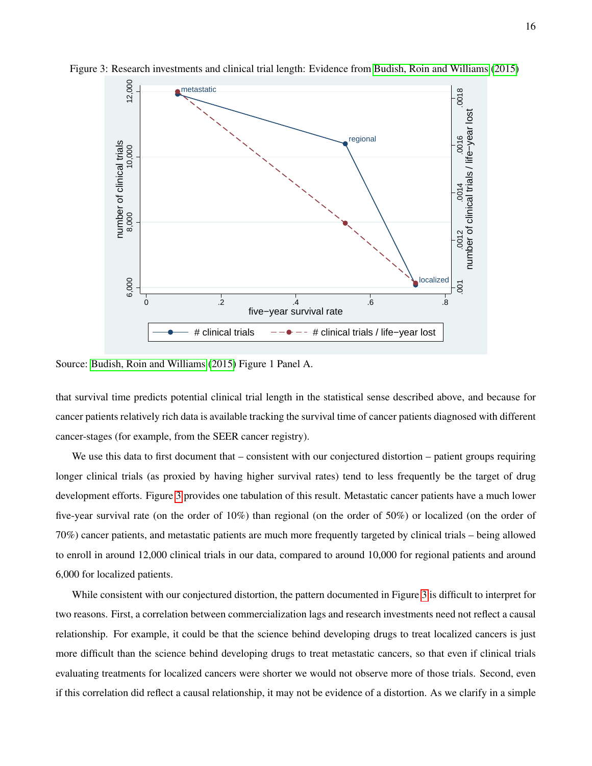<span id="page-17-0"></span>

Figure 3: Research investments and clinical trial length: Evidence from [Budish, Roin and Williams](#page-30-12) [\(2015\)](#page-30-12)

Source: [Budish, Roin and Williams](#page-30-12) [\(2015\)](#page-30-12) Figure 1 Panel A.

that survival time predicts potential clinical trial length in the statistical sense described above, and because for cancer patients relatively rich data is available tracking the survival time of cancer patients diagnosed with different cancer-stages (for example, from the SEER cancer registry).

We use this data to first document that – consistent with our conjectured distortion – patient groups requiring longer clinical trials (as proxied by having higher survival rates) tend to less frequently be the target of drug development efforts. Figure [3](#page-17-0) provides one tabulation of this result. Metastatic cancer patients have a much lower five-year survival rate (on the order of 10%) than regional (on the order of 50%) or localized (on the order of 70%) cancer patients, and metastatic patients are much more frequently targeted by clinical trials – being allowed to enroll in around 12,000 clinical trials in our data, compared to around 10,000 for regional patients and around 6,000 for localized patients.

While consistent with our conjectured distortion, the pattern documented in Figure [3](#page-17-0) is difficult to interpret for two reasons. First, a correlation between commercialization lags and research investments need not reflect a causal relationship. For example, it could be that the science behind developing drugs to treat localized cancers is just more difficult than the science behind developing drugs to treat metastatic cancers, so that even if clinical trials evaluating treatments for localized cancers were shorter we would not observe more of those trials. Second, even if this correlation did reflect a causal relationship, it may not be evidence of a distortion. As we clarify in a simple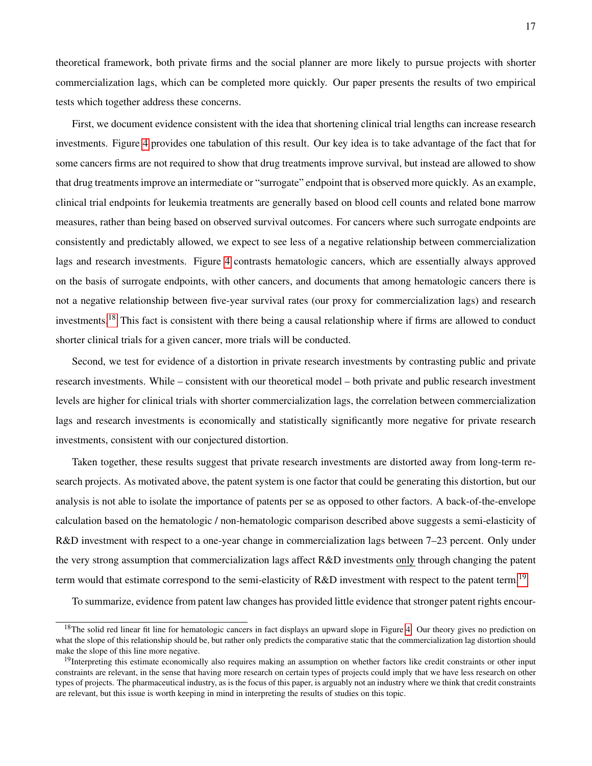theoretical framework, both private firms and the social planner are more likely to pursue projects with shorter commercialization lags, which can be completed more quickly. Our paper presents the results of two empirical tests which together address these concerns.

First, we document evidence consistent with the idea that shortening clinical trial lengths can increase research investments. Figure [4](#page-19-1) provides one tabulation of this result. Our key idea is to take advantage of the fact that for some cancers firms are not required to show that drug treatments improve survival, but instead are allowed to show that drug treatments improve an intermediate or "surrogate" endpoint that is observed more quickly. As an example, clinical trial endpoints for leukemia treatments are generally based on blood cell counts and related bone marrow measures, rather than being based on observed survival outcomes. For cancers where such surrogate endpoints are consistently and predictably allowed, we expect to see less of a negative relationship between commercialization lags and research investments. Figure [4](#page-19-1) contrasts hematologic cancers, which are essentially always approved on the basis of surrogate endpoints, with other cancers, and documents that among hematologic cancers there is not a negative relationship between five-year survival rates (our proxy for commercialization lags) and research investments.<sup>[18](#page-18-0)</sup> This fact is consistent with there being a causal relationship where if firms are allowed to conduct shorter clinical trials for a given cancer, more trials will be conducted.

Second, we test for evidence of a distortion in private research investments by contrasting public and private research investments. While – consistent with our theoretical model – both private and public research investment levels are higher for clinical trials with shorter commercialization lags, the correlation between commercialization lags and research investments is economically and statistically significantly more negative for private research investments, consistent with our conjectured distortion.

Taken together, these results suggest that private research investments are distorted away from long-term research projects. As motivated above, the patent system is one factor that could be generating this distortion, but our analysis is not able to isolate the importance of patents per se as opposed to other factors. A back-of-the-envelope calculation based on the hematologic / non-hematologic comparison described above suggests a semi-elasticity of R&D investment with respect to a one-year change in commercialization lags between 7–23 percent. Only under the very strong assumption that commercialization lags affect R&D investments only through changing the patent term would that estimate correspond to the semi-elasticity of R&D investment with respect to the patent term.<sup>[19](#page-18-1)</sup>

To summarize, evidence from patent law changes has provided little evidence that stronger patent rights encour-

<span id="page-18-0"></span><sup>&</sup>lt;sup>18</sup>The solid red linear fit line for hematologic cancers in fact displays an upward slope in Figure [4.](#page-19-1) Our theory gives no prediction on what the slope of this relationship should be, but rather only predicts the comparative static that the commercialization lag distortion should make the slope of this line more negative.

<span id="page-18-1"></span> $19$ Interpreting this estimate economically also requires making an assumption on whether factors like credit constraints or other input constraints are relevant, in the sense that having more research on certain types of projects could imply that we have less research on other types of projects. The pharmaceutical industry, as is the focus of this paper, is arguably not an industry where we think that credit constraints are relevant, but this issue is worth keeping in mind in interpreting the results of studies on this topic.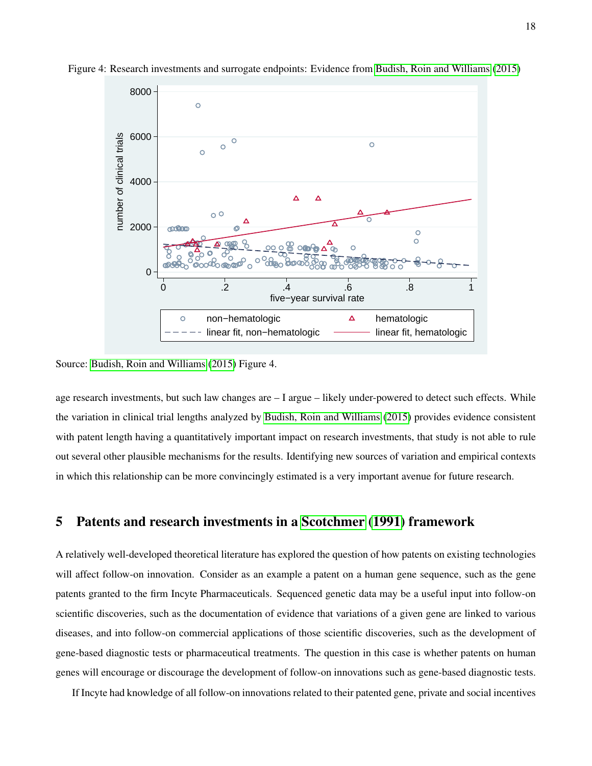<span id="page-19-1"></span>



Source: [Budish, Roin and Williams](#page-30-12) [\(2015\)](#page-30-12) Figure 4.

age research investments, but such law changes are – I argue – likely under-powered to detect such effects. While the variation in clinical trial lengths analyzed by [Budish, Roin and Williams](#page-30-12) [\(2015\)](#page-30-12) provides evidence consistent with patent length having a quantitatively important impact on research investments, that study is not able to rule out several other plausible mechanisms for the results. Identifying new sources of variation and empirical contexts in which this relationship can be more convincingly estimated is a very important avenue for future research.

# <span id="page-19-0"></span>5 Patents and research investments in a [Scotchmer](#page-32-13) [\(1991\)](#page-32-13) framework

A relatively well-developed theoretical literature has explored the question of how patents on existing technologies will affect follow-on innovation. Consider as an example a patent on a human gene sequence, such as the gene patents granted to the firm Incyte Pharmaceuticals. Sequenced genetic data may be a useful input into follow-on scientific discoveries, such as the documentation of evidence that variations of a given gene are linked to various diseases, and into follow-on commercial applications of those scientific discoveries, such as the development of gene-based diagnostic tests or pharmaceutical treatments. The question in this case is whether patents on human genes will encourage or discourage the development of follow-on innovations such as gene-based diagnostic tests.

If Incyte had knowledge of all follow-on innovations related to their patented gene, private and social incentives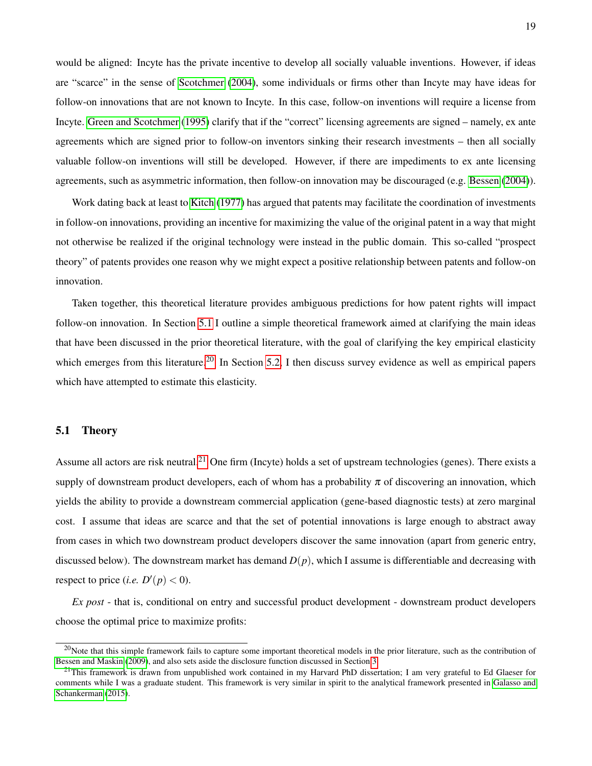would be aligned: Incyte has the private incentive to develop all socially valuable inventions. However, if ideas are "scarce" in the sense of [Scotchmer](#page-32-14) [\(2004\)](#page-32-14), some individuals or firms other than Incyte may have ideas for follow-on innovations that are not known to Incyte. In this case, follow-on inventions will require a license from Incyte. [Green and Scotchmer](#page-31-15) [\(1995\)](#page-31-15) clarify that if the "correct" licensing agreements are signed – namely, ex ante agreements which are signed prior to follow-on inventors sinking their research investments – then all socially valuable follow-on inventions will still be developed. However, if there are impediments to ex ante licensing agreements, such as asymmetric information, then follow-on innovation may be discouraged (e.g. [Bessen](#page-30-13) [\(2004\)](#page-30-13)).

Work dating back at least to [Kitch](#page-31-16) [\(1977\)](#page-31-16) has argued that patents may facilitate the coordination of investments in follow-on innovations, providing an incentive for maximizing the value of the original patent in a way that might not otherwise be realized if the original technology were instead in the public domain. This so-called "prospect theory" of patents provides one reason why we might expect a positive relationship between patents and follow-on innovation.

Taken together, this theoretical literature provides ambiguous predictions for how patent rights will impact follow-on innovation. In Section [5.1](#page-20-0) I outline a simple theoretical framework aimed at clarifying the main ideas that have been discussed in the prior theoretical literature, with the goal of clarifying the key empirical elasticity which emerges from this literature.<sup>[20](#page-20-1)</sup> In Section [5.2,](#page-23-0) I then discuss survey evidence as well as empirical papers which have attempted to estimate this elasticity.

### <span id="page-20-0"></span>5.1 Theory

Assume all actors are risk neutral.<sup>[21](#page-20-2)</sup> One firm (Incyte) holds a set of upstream technologies (genes). There exists a supply of downstream product developers, each of whom has a probability  $\pi$  of discovering an innovation, which yields the ability to provide a downstream commercial application (gene-based diagnostic tests) at zero marginal cost. I assume that ideas are scarce and that the set of potential innovations is large enough to abstract away from cases in which two downstream product developers discover the same innovation (apart from generic entry, discussed below). The downstream market has demand *D*(*p*), which I assume is differentiable and decreasing with respect to price (*i.e.*  $D'(p) < 0$ ).

*Ex post* - that is, conditional on entry and successful product development - downstream product developers choose the optimal price to maximize profits:

<span id="page-20-1"></span> $^{20}$ Note that this simple framework fails to capture some important theoretical models in the prior literature, such as the contribution of [Bessen and Maskin](#page-30-14) [\(2009\)](#page-30-14), and also sets aside the disclosure function discussed in Section [3.](#page-6-0)

<span id="page-20-2"></span> $^{21}$ This framework is drawn from unpublished work contained in my Harvard PhD dissertation; I am very grateful to Ed Glaeser for comments while I was a graduate student. This framework is very similar in spirit to the analytical framework presented in [Galasso and](#page-30-11) [Schankerman](#page-30-11) [\(2015\)](#page-30-11).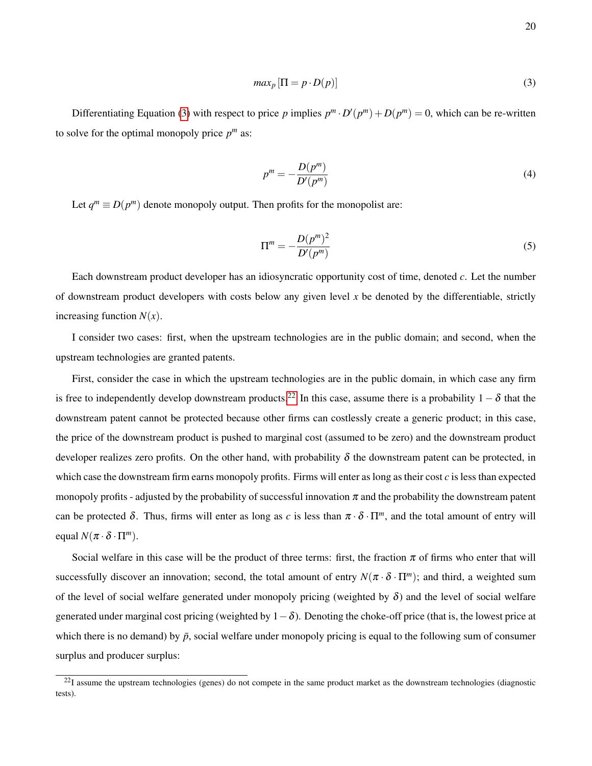<span id="page-21-0"></span>
$$
max_p \left[ \Pi = p \cdot D(p) \right] \tag{3}
$$

Differentiating Equation [\(3\)](#page-21-0) with respect to price *p* implies  $p^m \cdot D'(p^m) + D(p^m) = 0$ , which can be re-written to solve for the optimal monopoly price  $p^m$  as:

$$
p^m = -\frac{D(p^m)}{D'(p^m)}\tag{4}
$$

Let  $q^m \equiv D(p^m)$  denote monopoly output. Then profits for the monopolist are:

$$
\Pi^m = -\frac{D(p^m)^2}{D'(p^m)}\tag{5}
$$

Each downstream product developer has an idiosyncratic opportunity cost of time, denoted *c*. Let the number of downstream product developers with costs below any given level *x* be denoted by the differentiable, strictly increasing function  $N(x)$ .

I consider two cases: first, when the upstream technologies are in the public domain; and second, when the upstream technologies are granted patents.

First, consider the case in which the upstream technologies are in the public domain, in which case any firm is free to independently develop downstream products.<sup>[22](#page-21-1)</sup> In this case, assume there is a probability  $1-\delta$  that the downstream patent cannot be protected because other firms can costlessly create a generic product; in this case, the price of the downstream product is pushed to marginal cost (assumed to be zero) and the downstream product developer realizes zero profits. On the other hand, with probability  $\delta$  the downstream patent can be protected, in which case the downstream firm earns monopoly profits. Firms will enter as long as their cost *c* is less than expected monopoly profits - adjusted by the probability of successful innovation  $\pi$  and the probability the downstream patent can be protected  $\delta$ . Thus, firms will enter as long as *c* is less than  $\pi \cdot \delta \cdot \Pi^m$ , and the total amount of entry will equal  $N(\pi \cdot \delta \cdot \Pi^m)$ .

Social welfare in this case will be the product of three terms: first, the fraction  $\pi$  of firms who enter that will successfully discover an innovation; second, the total amount of entry  $N(\pi \cdot \delta \cdot \Pi^m)$ ; and third, a weighted sum of the level of social welfare generated under monopoly pricing (weighted by  $\delta$ ) and the level of social welfare generated under marginal cost pricing (weighted by  $1-\delta$ ). Denoting the choke-off price (that is, the lowest price at which there is no demand) by  $\bar{p}$ , social welfare under monopoly pricing is equal to the following sum of consumer surplus and producer surplus:

<span id="page-21-1"></span> $^{22}I$  assume the upstream technologies (genes) do not compete in the same product market as the downstream technologies (diagnostic tests).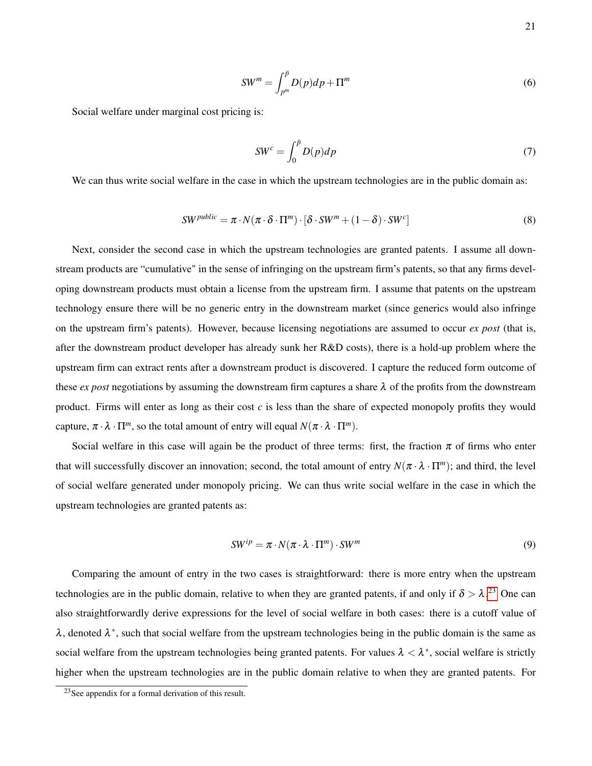$$
SW^m = \int_{p^m}^{\bar{p}} D(p)dp + \Pi^m \tag{6}
$$

Social welfare under marginal cost pricing is:

$$
SW^c = \int_0^{\bar{p}} D(p) dp \tag{7}
$$

We can thus write social welfare in the case in which the upstream technologies are in the public domain as:

$$
SW^{public} = \pi \cdot N(\pi \cdot \delta \cdot \Pi^m) \cdot [\delta \cdot SW^m + (1 - \delta) \cdot SW^c]
$$
\n(8)

Next, consider the second case in which the upstream technologies are granted patents. I assume all downstream products are "cumulative" in the sense of infringing on the upstream firm's patents, so that any firms developing downstream products must obtain a license from the upstream firm. I assume that patents on the upstream technology ensure there will be no generic entry in the downstream market (since generics would also infringe on the upstream firm's patents). However, because licensing negotiations are assumed to occur *ex post* (that is, after the downstream product developer has already sunk her R&D costs), there is a hold-up problem where the upstream firm can extract rents after a downstream product is discovered. I capture the reduced form outcome of these *ex post* negotiations by assuming the downstream firm captures a share  $\lambda$  of the profits from the downstream product. Firms will enter as long as their cost *c* is less than the share of expected monopoly profits they would capture,  $\pi \cdot \lambda \cdot \Pi^m$ , so the total amount of entry will equal  $N(\pi \cdot \lambda \cdot \Pi^m)$ .

Social welfare in this case will again be the product of three terms: first, the fraction  $\pi$  of firms who enter that will successfully discover an innovation; second, the total amount of entry  $N(\pi \cdot \lambda \cdot \Pi^m)$ ; and third, the level of social welfare generated under monopoly pricing. We can thus write social welfare in the case in which the upstream technologies are granted patents as:

$$
SW^{ip} = \pi \cdot N(\pi \cdot \lambda \cdot \Pi^m) \cdot SW^m \tag{9}
$$

Comparing the amount of entry in the two cases is straightforward: there is more entry when the upstream technologies are in the public domain, relative to when they are granted patents, if and only if  $\delta > \lambda$ .<sup>[23](#page-22-0)</sup> One can also straightforwardly derive expressions for the level of social welfare in both cases: there is a cutoff value of  $\lambda$ , denoted  $\lambda^*$ , such that social welfare from the upstream technologies being in the public domain is the same as social welfare from the upstream technologies being granted patents. For values  $\lambda < \lambda^*$ , social welfare is strictly higher when the upstream technologies are in the public domain relative to when they are granted patents. For

<span id="page-22-0"></span><sup>23</sup>See appendix for a formal derivation of this result.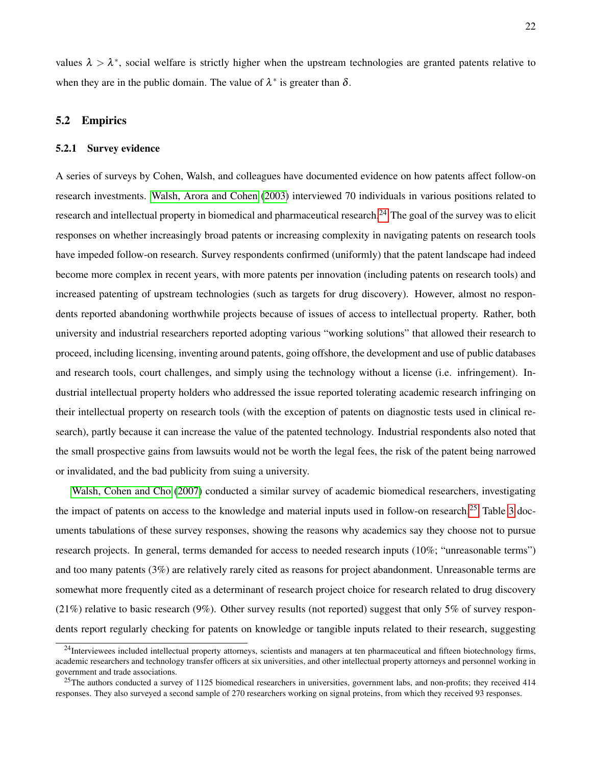values  $\lambda > \lambda^*$ , social welfare is strictly higher when the upstream technologies are granted patents relative to when they are in the public domain. The value of  $\lambda^*$  is greater than  $\delta$ .

### <span id="page-23-0"></span>5.2 Empirics

### 5.2.1 Survey evidence

A series of surveys by Cohen, Walsh, and colleagues have documented evidence on how patents affect follow-on research investments. [Walsh, Arora and Cohen](#page-32-15) [\(2003\)](#page-32-15) interviewed 70 individuals in various positions related to research and intellectual property in biomedical and pharmaceutical research.<sup>[24](#page-23-1)</sup> The goal of the survey was to elicit responses on whether increasingly broad patents or increasing complexity in navigating patents on research tools have impeded follow-on research. Survey respondents confirmed (uniformly) that the patent landscape had indeed become more complex in recent years, with more patents per innovation (including patents on research tools) and increased patenting of upstream technologies (such as targets for drug discovery). However, almost no respondents reported abandoning worthwhile projects because of issues of access to intellectual property. Rather, both university and industrial researchers reported adopting various "working solutions" that allowed their research to proceed, including licensing, inventing around patents, going offshore, the development and use of public databases and research tools, court challenges, and simply using the technology without a license (i.e. infringement). Industrial intellectual property holders who addressed the issue reported tolerating academic research infringing on their intellectual property on research tools (with the exception of patents on diagnostic tests used in clinical research), partly because it can increase the value of the patented technology. Industrial respondents also noted that the small prospective gains from lawsuits would not be worth the legal fees, the risk of the patent being narrowed or invalidated, and the bad publicity from suing a university.

[Walsh, Cohen and Cho](#page-32-16) [\(2007\)](#page-32-16) conducted a similar survey of academic biomedical researchers, investigating the impact of patents on access to the knowledge and material inputs used in follow-on research.<sup>[25](#page-23-2)</sup> Table [3](#page-24-0) documents tabulations of these survey responses, showing the reasons why academics say they choose not to pursue research projects. In general, terms demanded for access to needed research inputs (10%; "unreasonable terms") and too many patents (3%) are relatively rarely cited as reasons for project abandonment. Unreasonable terms are somewhat more frequently cited as a determinant of research project choice for research related to drug discovery (21%) relative to basic research (9%). Other survey results (not reported) suggest that only 5% of survey respondents report regularly checking for patents on knowledge or tangible inputs related to their research, suggesting

<span id="page-23-1"></span> $24$ Interviewees included intellectual property attorneys, scientists and managers at ten pharmaceutical and fifteen biotechnology firms, academic researchers and technology transfer officers at six universities, and other intellectual property attorneys and personnel working in government and trade associations.

<span id="page-23-2"></span> $^{25}$ The authors conducted a survey of 1125 biomedical researchers in universities, government labs, and non-profits; they received 414 responses. They also surveyed a second sample of 270 researchers working on signal proteins, from which they received 93 responses.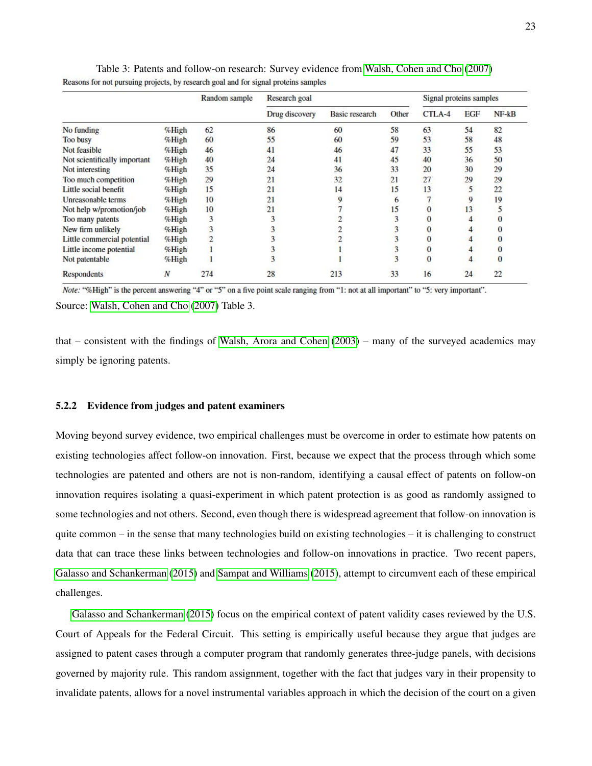|                              |                  | Random sample  | Research goal  |                |       | Signal proteins samples |            |          |
|------------------------------|------------------|----------------|----------------|----------------|-------|-------------------------|------------|----------|
|                              |                  |                | Drug discovery | Basic research | Other | CTLA-4                  | <b>EGF</b> | $NF-kB$  |
| No funding                   | %High            | 62             | 86             | 60             | 58    | 63                      | 54         | 82       |
| <b>Too busy</b>              | %High            | 60             | 55             | 60             | 59    | 53                      | 58         | 48       |
| Not feasible                 | %High            | 46             | 41             | 46             | 47    | 33                      | 55         | 53       |
| Not scientifically important | %High            | 40             | 24             | 41             | 45    | 40                      | 36         | 50       |
| Not interesting              | %High            | 35             | 24             | 36             | 33    | 20                      | 30         | 29       |
| Too much competition         | %High            | 29             | 21             | 32             | 21    | 27                      | 29         | 29       |
| Little social benefit        | %High            | 15             | 21             | 14             | 15    | 13                      |            | 22       |
| Unreasonable terms           | %High            | 10             | 21             | 9              | 6     | π                       | 9          | 19       |
| Not help w/promotion/job     | %High            | 10             | 21             |                | 15    | $\bf{0}$                | 13         |          |
| Too many patents             | %High            | 3              |                |                |       | $\theta$                |            | $\bf{0}$ |
| New firm unlikely            | %High            | 3              |                |                |       | $\bf{0}$                |            | $\bf{0}$ |
| Little commercial potential  | %High            | $\overline{2}$ |                |                |       | $\bf{0}$                |            | $\bf{0}$ |
| Little income potential      | %High            |                |                |                |       | $\bf{0}$                |            | $\bf{0}$ |
| Not patentable               | %High            |                |                |                |       | $\overline{0}$          |            | $\bf{0}$ |
| Respondents                  | $\boldsymbol{N}$ | 274            | 28             | 213            | 33    | 16                      | 24         | 22       |

<span id="page-24-0"></span>Table 3: Patents and follow-on research: Survey evidence from [Walsh, Cohen and Cho](#page-32-16) [\(2007\)](#page-32-16) Reasons for not pursuing projects, by research goal and for signal proteins samples

Note: "%High" is the percent answering "4" or "5" on a five point scale ranging from "1: not at all important" to "5: very important".

Source: [Walsh, Cohen and Cho](#page-32-16) [\(2007\)](#page-32-16) Table 3.

that – consistent with the findings of [Walsh, Arora and Cohen](#page-32-15) [\(2003\)](#page-32-15) – many of the surveyed academics may simply be ignoring patents.

#### 5.2.2 Evidence from judges and patent examiners

Moving beyond survey evidence, two empirical challenges must be overcome in order to estimate how patents on existing technologies affect follow-on innovation. First, because we expect that the process through which some technologies are patented and others are not is non-random, identifying a causal effect of patents on follow-on innovation requires isolating a quasi-experiment in which patent protection is as good as randomly assigned to some technologies and not others. Second, even though there is widespread agreement that follow-on innovation is quite common – in the sense that many technologies build on existing technologies – it is challenging to construct data that can trace these links between technologies and follow-on innovations in practice. Two recent papers, [Galasso and Schankerman](#page-30-11) [\(2015\)](#page-30-11) and [Sampat and Williams](#page-32-11) [\(2015\)](#page-32-11), attempt to circumvent each of these empirical challenges.

[Galasso and Schankerman](#page-30-11) [\(2015\)](#page-30-11) focus on the empirical context of patent validity cases reviewed by the U.S. Court of Appeals for the Federal Circuit. This setting is empirically useful because they argue that judges are assigned to patent cases through a computer program that randomly generates three-judge panels, with decisions governed by majority rule. This random assignment, together with the fact that judges vary in their propensity to invalidate patents, allows for a novel instrumental variables approach in which the decision of the court on a given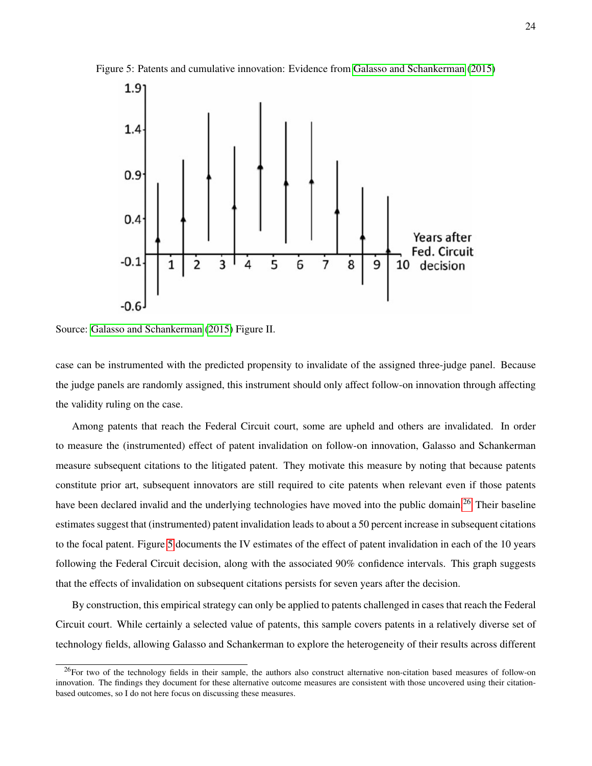<span id="page-25-1"></span>

Figure 5: Patents and cumulative innovation: Evidence from [Galasso and Schankerman](#page-30-11) [\(2015\)](#page-30-11)

Source: [Galasso and Schankerman](#page-30-11) [\(2015\)](#page-30-11) Figure II.

case can be instrumented with the predicted propensity to invalidate of the assigned three-judge panel. Because the judge panels are randomly assigned, this instrument should only affect follow-on innovation through affecting the validity ruling on the case.

Among patents that reach the Federal Circuit court, some are upheld and others are invalidated. In order to measure the (instrumented) effect of patent invalidation on follow-on innovation, Galasso and Schankerman measure subsequent citations to the litigated patent. They motivate this measure by noting that because patents constitute prior art, subsequent innovators are still required to cite patents when relevant even if those patents have been declared invalid and the underlying technologies have moved into the public domain.<sup>[26](#page-25-0)</sup> Their baseline estimates suggest that (instrumented) patent invalidation leads to about a 50 percent increase in subsequent citations to the focal patent. Figure [5](#page-25-1) documents the IV estimates of the effect of patent invalidation in each of the 10 years following the Federal Circuit decision, along with the associated 90% confidence intervals. This graph suggests that the effects of invalidation on subsequent citations persists for seven years after the decision.

By construction, this empirical strategy can only be applied to patents challenged in cases that reach the Federal Circuit court. While certainly a selected value of patents, this sample covers patents in a relatively diverse set of technology fields, allowing Galasso and Schankerman to explore the heterogeneity of their results across different

<span id="page-25-0"></span> $^{26}$ For two of the technology fields in their sample, the authors also construct alternative non-citation based measures of follow-on innovation. The findings they document for these alternative outcome measures are consistent with those uncovered using their citationbased outcomes, so I do not here focus on discussing these measures.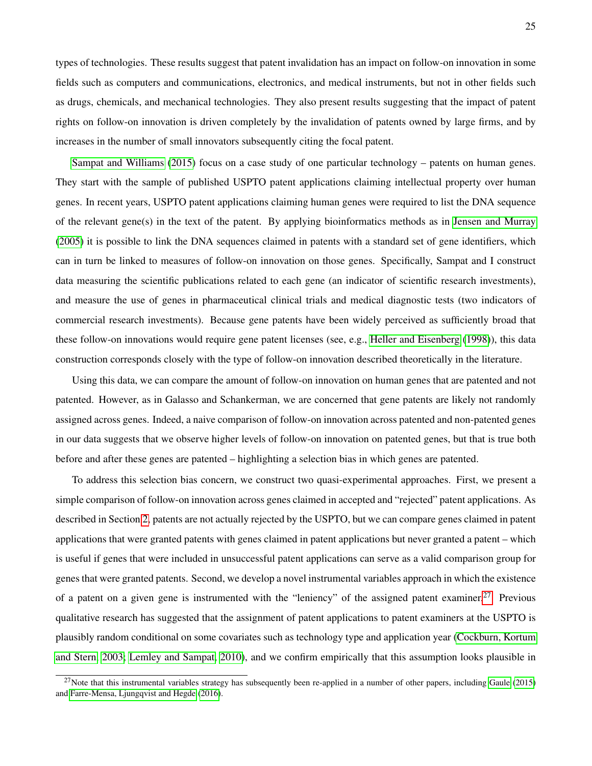types of technologies. These results suggest that patent invalidation has an impact on follow-on innovation in some fields such as computers and communications, electronics, and medical instruments, but not in other fields such as drugs, chemicals, and mechanical technologies. They also present results suggesting that the impact of patent rights on follow-on innovation is driven completely by the invalidation of patents owned by large firms, and by increases in the number of small innovators subsequently citing the focal patent.

[Sampat and Williams](#page-32-11) [\(2015\)](#page-32-11) focus on a case study of one particular technology – patents on human genes. They start with the sample of published USPTO patent applications claiming intellectual property over human genes. In recent years, USPTO patent applications claiming human genes were required to list the DNA sequence of the relevant gene(s) in the text of the patent. By applying bioinformatics methods as in [Jensen and Murray](#page-31-17) [\(2005\)](#page-31-17) it is possible to link the DNA sequences claimed in patents with a standard set of gene identifiers, which can in turn be linked to measures of follow-on innovation on those genes. Specifically, Sampat and I construct data measuring the scientific publications related to each gene (an indicator of scientific research investments), and measure the use of genes in pharmaceutical clinical trials and medical diagnostic tests (two indicators of commercial research investments). Because gene patents have been widely perceived as sufficiently broad that these follow-on innovations would require gene patent licenses (see, e.g., [Heller and Eisenberg](#page-31-18) [\(1998\)](#page-31-18)), this data construction corresponds closely with the type of follow-on innovation described theoretically in the literature.

Using this data, we can compare the amount of follow-on innovation on human genes that are patented and not patented. However, as in Galasso and Schankerman, we are concerned that gene patents are likely not randomly assigned across genes. Indeed, a naive comparison of follow-on innovation across patented and non-patented genes in our data suggests that we observe higher levels of follow-on innovation on patented genes, but that is true both before and after these genes are patented – highlighting a selection bias in which genes are patented.

To address this selection bias concern, we construct two quasi-experimental approaches. First, we present a simple comparison of follow-on innovation across genes claimed in accepted and "rejected" patent applications. As described in Section [2,](#page-4-0) patents are not actually rejected by the USPTO, but we can compare genes claimed in patent applications that were granted patents with genes claimed in patent applications but never granted a patent – which is useful if genes that were included in unsuccessful patent applications can serve as a valid comparison group for genes that were granted patents. Second, we develop a novel instrumental variables approach in which the existence of a patent on a given gene is instrumented with the "leniency" of the assigned patent examiner.<sup>[27](#page-26-0)</sup> Previous qualitative research has suggested that the assignment of patent applications to patent examiners at the USPTO is plausibly random conditional on some covariates such as technology type and application year [\(Cockburn, Kortum](#page-30-15) [and Stern, 2003;](#page-30-15) [Lemley and Sampat, 2010\)](#page-31-19), and we confirm empirically that this assumption looks plausible in

<span id="page-26-0"></span><sup>&</sup>lt;sup>27</sup>Note that this instrumental variables strategy has subsequently been re-applied in a number of other papers, including [Gaule](#page-31-20) [\(2015\)](#page-31-20) and [Farre-Mensa, Ljungqvist and Hegde](#page-30-16) [\(2016\)](#page-30-16).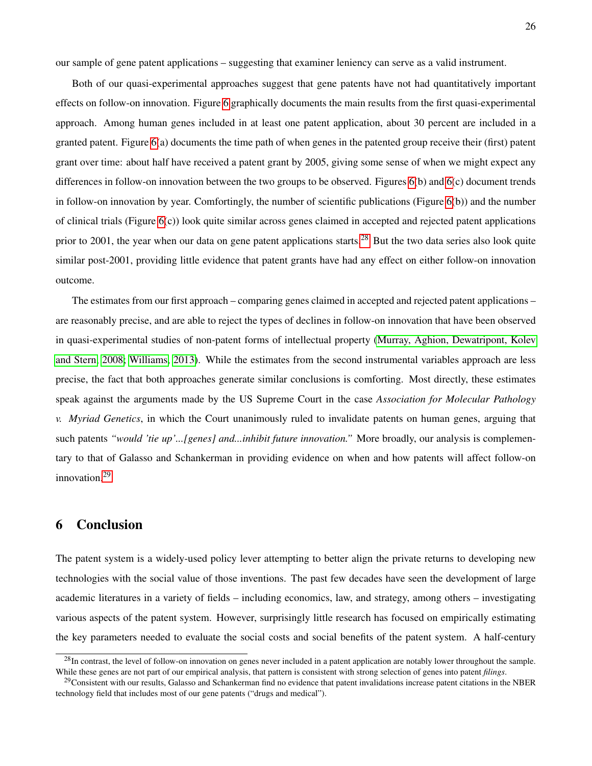our sample of gene patent applications – suggesting that examiner leniency can serve as a valid instrument.

Both of our quasi-experimental approaches suggest that gene patents have not had quantitatively important effects on follow-on innovation. Figure [6](#page-28-0) graphically documents the main results from the first quasi-experimental approach. Among human genes included in at least one patent application, about 30 percent are included in a granted patent. Figure [6\(](#page-28-0)a) documents the time path of when genes in the patented group receive their (first) patent grant over time: about half have received a patent grant by 2005, giving some sense of when we might expect any differences in follow-on innovation between the two groups to be observed. Figures [6\(](#page-28-0)b) and [6\(](#page-28-0)c) document trends in follow-on innovation by year. Comfortingly, the number of scientific publications (Figure [6\(](#page-28-0)b)) and the number of clinical trials (Figure [6\(](#page-28-0)c)) look quite similar across genes claimed in accepted and rejected patent applications prior to 2001, the year when our data on gene patent applications starts.<sup>[28](#page-27-1)</sup> But the two data series also look quite similar post-2001, providing little evidence that patent grants have had any effect on either follow-on innovation outcome.

The estimates from our first approach – comparing genes claimed in accepted and rejected patent applications – are reasonably precise, and are able to reject the types of declines in follow-on innovation that have been observed in quasi-experimental studies of non-patent forms of intellectual property [\(Murray, Aghion, Dewatripont, Kolev](#page-32-17) [and Stern, 2008;](#page-32-17) [Williams, 2013\)](#page-32-18). While the estimates from the second instrumental variables approach are less precise, the fact that both approaches generate similar conclusions is comforting. Most directly, these estimates speak against the arguments made by the US Supreme Court in the case *Association for Molecular Pathology v. Myriad Genetics*, in which the Court unanimously ruled to invalidate patents on human genes, arguing that such patents *"would 'tie up'...[genes] and...inhibit future innovation."* More broadly, our analysis is complementary to that of Galasso and Schankerman in providing evidence on when and how patents will affect follow-on innovation.[29](#page-27-2)

# <span id="page-27-0"></span>6 Conclusion

The patent system is a widely-used policy lever attempting to better align the private returns to developing new technologies with the social value of those inventions. The past few decades have seen the development of large academic literatures in a variety of fields – including economics, law, and strategy, among others – investigating various aspects of the patent system. However, surprisingly little research has focused on empirically estimating the key parameters needed to evaluate the social costs and social benefits of the patent system. A half-century

<span id="page-27-1"></span> $^{28}$ In contrast, the level of follow-on innovation on genes never included in a patent application are notably lower throughout the sample. While these genes are not part of our empirical analysis, that pattern is consistent with strong selection of genes into patent *filings*.

<span id="page-27-2"></span> $^{29}$ Consistent with our results, Galasso and Schankerman find no evidence that patent invalidations increase patent citations in the NBER technology field that includes most of our gene patents ("drugs and medical").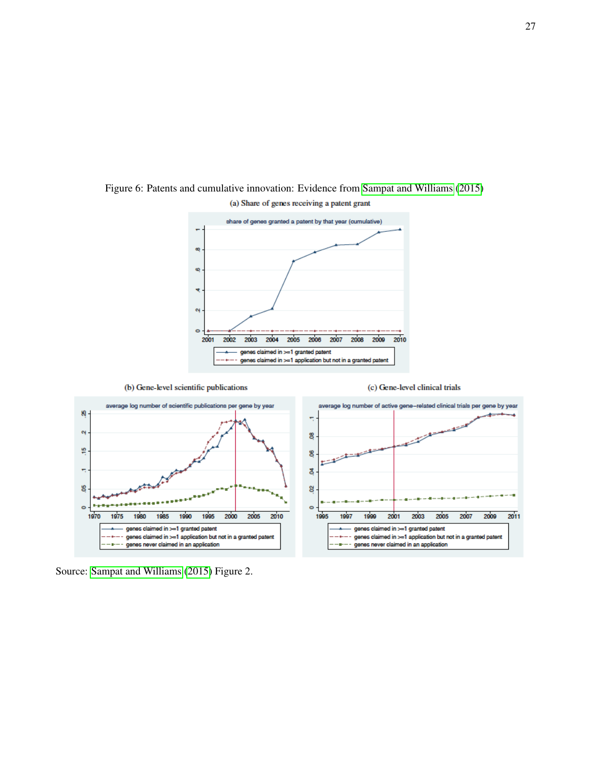

<span id="page-28-0"></span>Figure 6: Patents and cumulative innovation: Evidence from [Sampat and Williams](#page-32-11) [\(2015\)](#page-32-11) (a) Share of genes receiving a patent grant

(b) Gene-level scientific publications

(c) Gene-level clinical trials



Source: [Sampat and Williams](#page-32-11) [\(2015\)](#page-32-11) Figure 2.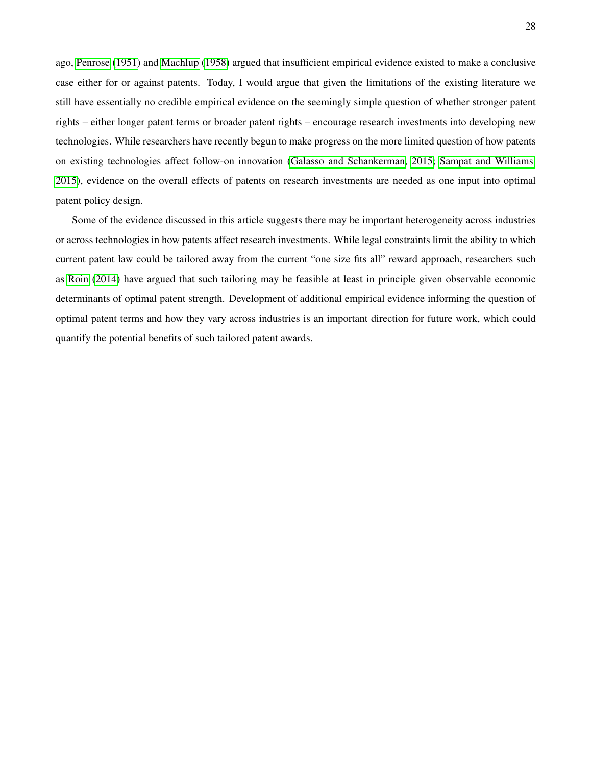ago, [Penrose](#page-32-2) [\(1951\)](#page-32-2) and [Machlup](#page-31-5) [\(1958\)](#page-31-5) argued that insufficient empirical evidence existed to make a conclusive case either for or against patents. Today, I would argue that given the limitations of the existing literature we still have essentially no credible empirical evidence on the seemingly simple question of whether stronger patent rights – either longer patent terms or broader patent rights – encourage research investments into developing new technologies. While researchers have recently begun to make progress on the more limited question of how patents on existing technologies affect follow-on innovation [\(Galasso and Schankerman, 2015;](#page-30-11) [Sampat and Williams,](#page-32-11) [2015\)](#page-32-11), evidence on the overall effects of patents on research investments are needed as one input into optimal patent policy design.

Some of the evidence discussed in this article suggests there may be important heterogeneity across industries or across technologies in how patents affect research investments. While legal constraints limit the ability to which current patent law could be tailored away from the current "one size fits all" reward approach, researchers such as [Roin](#page-32-19) [\(2014\)](#page-32-19) have argued that such tailoring may be feasible at least in principle given observable economic determinants of optimal patent strength. Development of additional empirical evidence informing the question of optimal patent terms and how they vary across industries is an important direction for future work, which could quantify the potential benefits of such tailored patent awards.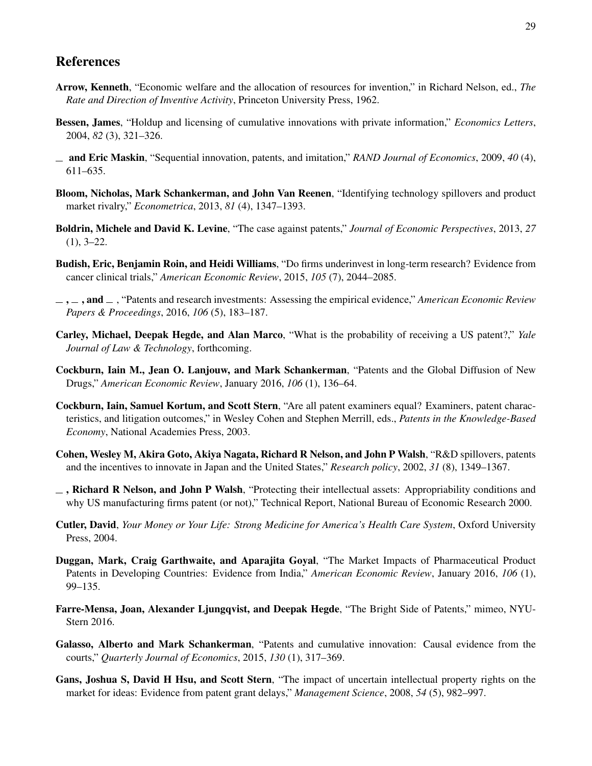# References

- <span id="page-30-1"></span>Arrow, Kenneth, "Economic welfare and the allocation of resources for invention," in Richard Nelson, ed., *The Rate and Direction of Inventive Activity*, Princeton University Press, 1962.
- <span id="page-30-13"></span>Bessen, James, "Holdup and licensing of cumulative innovations with private information," *Economics Letters*, 2004, *82* (3), 321–326.
- <span id="page-30-14"></span>and Eric Maskin, "Sequential innovation, patents, and imitation," *RAND Journal of Economics*, 2009, *40* (4), 611–635.
- <span id="page-30-2"></span>Bloom, Nicholas, Mark Schankerman, and John Van Reenen, "Identifying technology spillovers and product market rivalry," *Econometrica*, 2013, *81* (4), 1347–1393.
- <span id="page-30-3"></span>Boldrin, Michele and David K. Levine, "The case against patents," *Journal of Economic Perspectives*, 2013, *27*  $(1), 3-22.$
- <span id="page-30-12"></span>Budish, Eric, Benjamin Roin, and Heidi Williams, "Do firms underinvest in long-term research? Evidence from cancer clinical trials," *American Economic Review*, 2015, *105* (7), 2044–2085.
- <span id="page-30-10"></span> $, \ldots$ , and  $\ldots$ , "Patents and research investments: Assessing the empirical evidence," *American Economic Review Papers & Proceedings*, 2016, *106* (5), 183–187.
- <span id="page-30-7"></span>Carley, Michael, Deepak Hegde, and Alan Marco, "What is the probability of receiving a US patent?," *Yale Journal of Law & Technology*, forthcoming.
- <span id="page-30-4"></span>Cockburn, Iain M., Jean O. Lanjouw, and Mark Schankerman, "Patents and the Global Diffusion of New Drugs," *American Economic Review*, January 2016, *106* (1), 136–64.
- <span id="page-30-15"></span>Cockburn, Iain, Samuel Kortum, and Scott Stern, "Are all patent examiners equal? Examiners, patent characteristics, and litigation outcomes," in Wesley Cohen and Stephen Merrill, eds., *Patents in the Knowledge-Based Economy*, National Academies Press, 2003.
- <span id="page-30-9"></span>Cohen, Wesley M, Akira Goto, Akiya Nagata, Richard R Nelson, and John P Walsh, "R&D spillovers, patents and the incentives to innovate in Japan and the United States," *Research policy*, 2002, *31* (8), 1349–1367.
- <span id="page-30-8"></span> $\overline{\phantom{a}}$ , Richard R Nelson, and John P Walsh, "Protecting their intellectual assets: Appropriability conditions and why US manufacturing firms patent (or not)," Technical Report, National Bureau of Economic Research 2000.
- <span id="page-30-0"></span>Cutler, David, *Your Money or Your Life: Strong Medicine for America's Health Care System*, Oxford University Press, 2004.
- <span id="page-30-5"></span>Duggan, Mark, Craig Garthwaite, and Aparajita Goyal, "The Market Impacts of Pharmaceutical Product Patents in Developing Countries: Evidence from India," *American Economic Review*, January 2016, *106* (1), 99–135.
- <span id="page-30-16"></span>Farre-Mensa, Joan, Alexander Ljungqvist, and Deepak Hegde, "The Bright Side of Patents," mimeo, NYU-Stern 2016.
- <span id="page-30-11"></span>Galasso, Alberto and Mark Schankerman, "Patents and cumulative innovation: Causal evidence from the courts," *Quarterly Journal of Economics*, 2015, *130* (1), 317–369.
- <span id="page-30-6"></span>Gans, Joshua S, David H Hsu, and Scott Stern, "The impact of uncertain intellectual property rights on the market for ideas: Evidence from patent grant delays," *Management Science*, 2008, *54* (5), 982–997.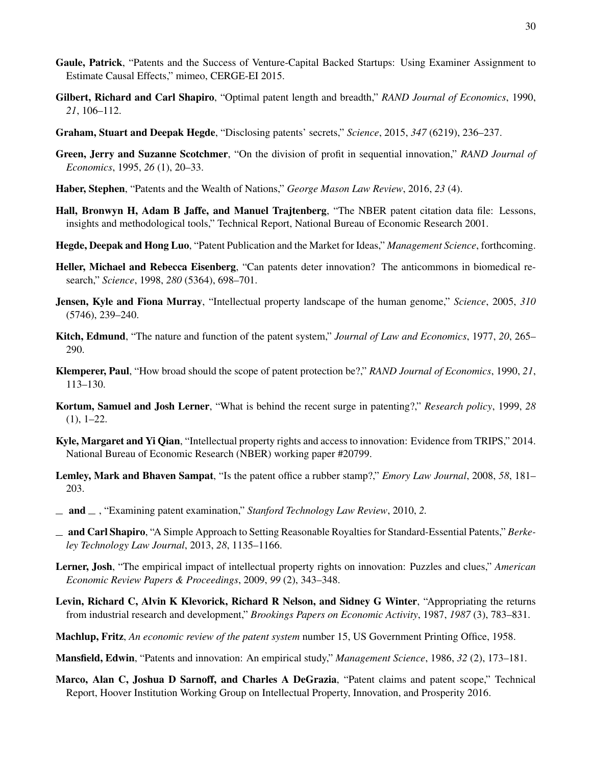- <span id="page-31-20"></span>Gaule, Patrick, "Patents and the Success of Venture-Capital Backed Startups: Using Examiner Assignment to Estimate Causal Effects," mimeo, CERGE-EI 2015.
- <span id="page-31-7"></span>Gilbert, Richard and Carl Shapiro, "Optimal patent length and breadth," *RAND Journal of Economics*, 1990, *21*, 106–112.
- <span id="page-31-11"></span>Graham, Stuart and Deepak Hegde, "Disclosing patents' secrets," *Science*, 2015, *347* (6219), 236–237.
- <span id="page-31-15"></span>Green, Jerry and Suzanne Scotchmer, "On the division of profit in sequential innovation," *RAND Journal of Economics*, 1995, *26* (1), 20–33.
- <span id="page-31-0"></span>Haber, Stephen, "Patents and the Wealth of Nations," *George Mason Law Review*, 2016, *23* (4).
- <span id="page-31-4"></span>Hall, Bronwyn H, Adam B Jaffe, and Manuel Trajtenberg, "The NBER patent citation data file: Lessons, insights and methodological tools," Technical Report, National Bureau of Economic Research 2001.
- <span id="page-31-12"></span>Hegde, Deepak and Hong Luo, "Patent Publication and the Market for Ideas," *Management Science*, forthcoming.
- <span id="page-31-18"></span>Heller, Michael and Rebecca Eisenberg, "Can patents deter innovation? The anticommons in biomedical research," *Science*, 1998, *280* (5364), 698–701.
- <span id="page-31-17"></span>Jensen, Kyle and Fiona Murray, "Intellectual property landscape of the human genome," *Science*, 2005, *310* (5746), 239–240.
- <span id="page-31-16"></span>Kitch, Edmund, "The nature and function of the patent system," *Journal of Law and Economics*, 1977, *20*, 265– 290.
- <span id="page-31-8"></span>Klemperer, Paul, "How broad should the scope of patent protection be?," *RAND Journal of Economics*, 1990, *21*, 113–130.
- <span id="page-31-3"></span>Kortum, Samuel and Josh Lerner, "What is behind the recent surge in patenting?," *Research policy*, 1999, *28*  $(1), 1-22.$
- <span id="page-31-1"></span>Kyle, Margaret and Yi Qian, "Intellectual property rights and access to innovation: Evidence from TRIPS," 2014. National Bureau of Economic Research (NBER) working paper #20799.
- <span id="page-31-6"></span>Lemley, Mark and Bhaven Sampat, "Is the patent office a rubber stamp?," *Emory Law Journal*, 2008, *58*, 181– 203.
- <span id="page-31-19"></span>and , "Examining patent examination," *Stanford Technology Law Review*, 2010, *2.*
- <span id="page-31-2"></span>and Carl Shapiro, "A Simple Approach to Setting Reasonable Royalties for Standard-Essential Patents," *Berkeley Technology Law Journal*, 2013, *28*, 1135–1166.
- <span id="page-31-14"></span>Lerner, Josh, "The empirical impact of intellectual property rights on innovation: Puzzles and clues," *American Economic Review Papers & Proceedings*, 2009, *99* (2), 343–348.
- <span id="page-31-10"></span>Levin, Richard C, Alvin K Klevorick, Richard R Nelson, and Sidney G Winter, "Appropriating the returns from industrial research and development," *Brookings Papers on Economic Activity*, 1987, *1987* (3), 783–831.
- <span id="page-31-5"></span>Machlup, Fritz, *An economic review of the patent system* number 15, US Government Printing Office, 1958.
- <span id="page-31-13"></span>Mansfield, Edwin, "Patents and innovation: An empirical study," *Management Science*, 1986, *32* (2), 173–181.
- <span id="page-31-9"></span>Marco, Alan C, Joshua D Sarnoff, and Charles A DeGrazia, "Patent claims and patent scope," Technical Report, Hoover Institution Working Group on Intellectual Property, Innovation, and Prosperity 2016.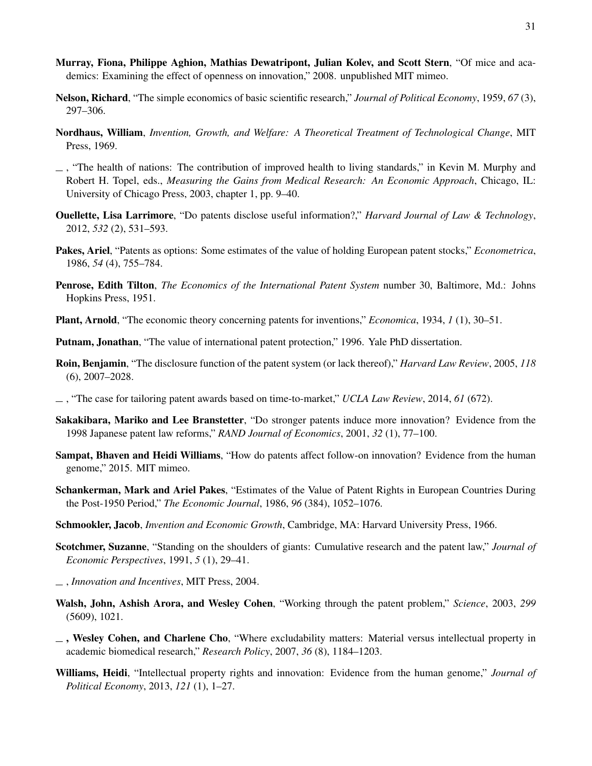- <span id="page-32-17"></span>Murray, Fiona, Philippe Aghion, Mathias Dewatripont, Julian Kolev, and Scott Stern, "Of mice and academics: Examining the effect of openness on innovation," 2008. unpublished MIT mimeo.
- <span id="page-32-1"></span>Nelson, Richard, "The simple economics of basic scientific research," *Journal of Political Economy*, 1959, *67* (3), 297–306.
- <span id="page-32-6"></span>Nordhaus, William, *Invention, Growth, and Welfare: A Theoretical Treatment of Technological Change*, MIT Press, 1969.
- <span id="page-32-3"></span> $\overline{\phantom{a}}$ , "The health of nations: The contribution of improved health to living standards," in Kevin M. Murphy and Robert H. Topel, eds., *Measuring the Gains from Medical Research: An Economic Approach*, Chicago, IL: University of Chicago Press, 2003, chapter 1, pp. 9–40.
- <span id="page-32-10"></span>Ouellette, Lisa Larrimore, "Do patents disclose useful information?," *Harvard Journal of Law & Technology*, 2012, *532* (2), 531–593.
- <span id="page-32-7"></span>Pakes, Ariel, "Patents as options: Some estimates of the value of holding European patent stocks," *Econometrica*, 1986, *54* (4), 755–784.
- <span id="page-32-2"></span>Penrose, Edith Tilton, *The Economics of the International Patent System* number 30, Baltimore, Md.: Johns Hopkins Press, 1951.
- <span id="page-32-4"></span>Plant, Arnold, "The economic theory concerning patents for inventions," *Economica*, 1934, *1* (1), 30–51.
- <span id="page-32-5"></span>Putnam, Jonathan, "The value of international patent protection," 1996. Yale PhD dissertation.
- <span id="page-32-9"></span>Roin, Benjamin, "The disclosure function of the patent system (or lack thereof)," *Harvard Law Review*, 2005, *118* (6), 2007–2028.
- <span id="page-32-19"></span>, "The case for tailoring patent awards based on time-to-market," *UCLA Law Review*, 2014, *61* (672).
- <span id="page-32-12"></span>Sakakibara, Mariko and Lee Branstetter, "Do stronger patents induce more innovation? Evidence from the 1998 Japanese patent law reforms," *RAND Journal of Economics*, 2001, *32* (1), 77–100.
- <span id="page-32-11"></span>Sampat, Bhaven and Heidi Williams, "How do patents affect follow-on innovation? Evidence from the human genome," 2015. MIT mimeo.
- <span id="page-32-8"></span>Schankerman, Mark and Ariel Pakes, "Estimates of the Value of Patent Rights in European Countries During the Post-1950 Period," *The Economic Journal*, 1986, *96* (384), 1052–1076.
- <span id="page-32-0"></span>Schmookler, Jacob, *Invention and Economic Growth*, Cambridge, MA: Harvard University Press, 1966.
- <span id="page-32-13"></span>Scotchmer, Suzanne, "Standing on the shoulders of giants: Cumulative research and the patent law," *Journal of Economic Perspectives*, 1991, *5* (1), 29–41.
- <span id="page-32-14"></span>, *Innovation and Incentives*, MIT Press, 2004.
- <span id="page-32-15"></span>Walsh, John, Ashish Arora, and Wesley Cohen, "Working through the patent problem," *Science*, 2003, *299* (5609), 1021.
- <span id="page-32-16"></span> $\Box$ , Wesley Cohen, and Charlene Cho, "Where excludability matters: Material versus intellectual property in academic biomedical research," *Research Policy*, 2007, *36* (8), 1184–1203.
- <span id="page-32-18"></span>Williams, Heidi, "Intellectual property rights and innovation: Evidence from the human genome," *Journal of Political Economy*, 2013, *121* (1), 1–27.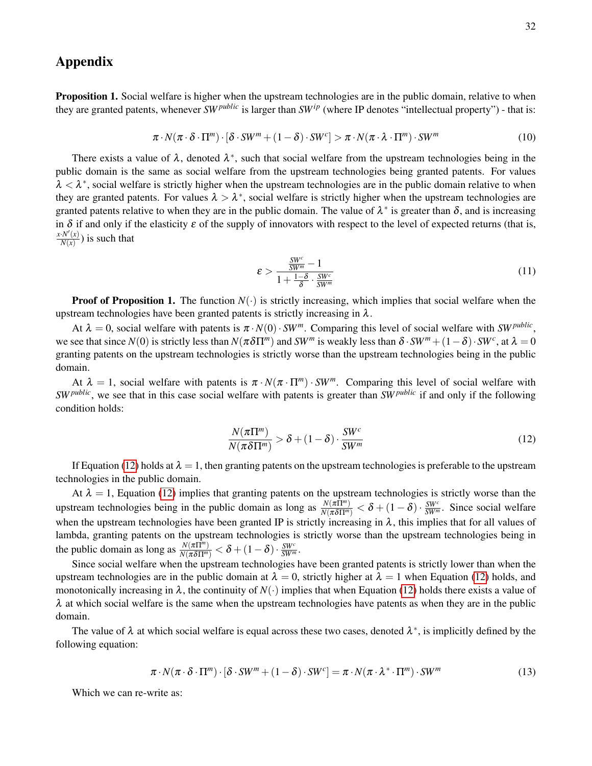# Appendix

Proposition 1. Social welfare is higher when the upstream technologies are in the public domain, relative to when they are granted patents, whenever *SW public* is larger than *SWip* (where IP denotes "intellectual property") - that is:

$$
\pi \cdot N(\pi \cdot \delta \cdot \Pi^m) \cdot [\delta \cdot SW^m + (1 - \delta) \cdot SW^c] > \pi \cdot N(\pi \cdot \lambda \cdot \Pi^m) \cdot SW^m \tag{10}
$$

There exists a value of  $\lambda$ , denoted  $\lambda^*$ , such that social welfare from the upstream technologies being in the public domain is the same as social welfare from the upstream technologies being granted patents. For values  $\lambda < \lambda^*$ , social welfare is strictly higher when the upstream technologies are in the public domain relative to when they are granted patents. For values  $\lambda > \lambda^*$ , social welfare is strictly higher when the upstream technologies are granted patents relative to when they are in the public domain. The value of  $\lambda^*$  is greater than  $\delta$ , and is increasing in  $\delta$  if and only if the elasticity  $\varepsilon$  of the supply of innovators with respect to the level of expected returns (that is,  $x \cdot N'(x)$  $\frac{X(Y|X)}{N(X)}$ ) is such that

$$
\mathcal{E} > \frac{\frac{SW^c}{SW^m} - 1}{1 + \frac{1 - \delta}{\delta} \cdot \frac{SW^c}{SW^m}}
$$
(11)

**Proof of Proposition 1.** The function  $N(\cdot)$  is strictly increasing, which implies that social welfare when the upstream technologies have been granted patents is strictly increasing in  $\lambda$ .

At  $\lambda = 0$ , social welfare with patents is  $\pi \cdot N(0) \cdot SW^m$ . Comparing this level of social welfare with *SW*<sup>*public*</sup>, we see that since  $N(0)$  is strictly less than  $N(\pi \delta \Pi^m)$  and  $SW^m$  is weakly less than  $\delta \cdot SW^m + (1-\delta) \cdot SW^c$ , at  $\lambda = 0$ granting patents on the upstream technologies is strictly worse than the upstream technologies being in the public domain.

At  $\lambda = 1$ , social welfare with patents is  $\pi \cdot N(\pi \cdot \Pi^m) \cdot SW^m$ . Comparing this level of social welfare with *SW*<sup>*public*</sup>, we see that in this case social welfare with patents is greater than *SW*<sup>*public*</sup> if and only if the following condition holds:

<span id="page-33-0"></span>
$$
\frac{N(\pi\Pi^m)}{N(\pi\delta\Pi^m)} > \delta + (1-\delta) \cdot \frac{SW^c}{SW^m}
$$
\n(12)

If Equation [\(12\)](#page-33-0) holds at  $\lambda = 1$ , then granting patents on the upstream technologies is preferable to the upstream technologies in the public domain.

At  $\lambda = 1$ , Equation [\(12\)](#page-33-0) implies that granting patents on the upstream technologies is strictly worse than the upstream technologies being in the public domain as long as  $\frac{N(\pi \hat{\Pi}^m)}{N(\pi \delta \Pi^m)} < \delta + (1 - \delta) \cdot \frac{SW^c}{SW^m}$ . Since social welfare when the upstream technologies have been granted IP is strictly increasing in  $\lambda$ , this implies that for all values of lambda, granting patents on the upstream technologies is strictly worse than the upstream technologies being in the public domain as long as  $\frac{N(\pi \Pi^m)}{N(\pi \delta \Pi^m)} < \delta + (1 - \delta) \cdot \frac{SW^c}{SW^m}$ .

Since social welfare when the upstream technologies have been granted patents is strictly lower than when the upstream technologies are in the public domain at  $\lambda = 0$ , strictly higher at  $\lambda = 1$  when Equation [\(12\)](#page-33-0) holds, and monotonically increasing in  $\lambda$ , the continuity of  $N(\cdot)$  implies that when Equation [\(12\)](#page-33-0) holds there exists a value of  $\lambda$  at which social welfare is the same when the upstream technologies have patents as when they are in the public domain.

The value of  $\lambda$  at which social welfare is equal across these two cases, denoted  $\lambda^*$ , is implicitly defined by the following equation:

$$
\pi \cdot N(\pi \cdot \delta \cdot \Pi^m) \cdot [\delta \cdot SW^m + (1 - \delta) \cdot SW^c] = \pi \cdot N(\pi \cdot \lambda^* \cdot \Pi^m) \cdot SW^m \tag{13}
$$

Which we can re-write as: